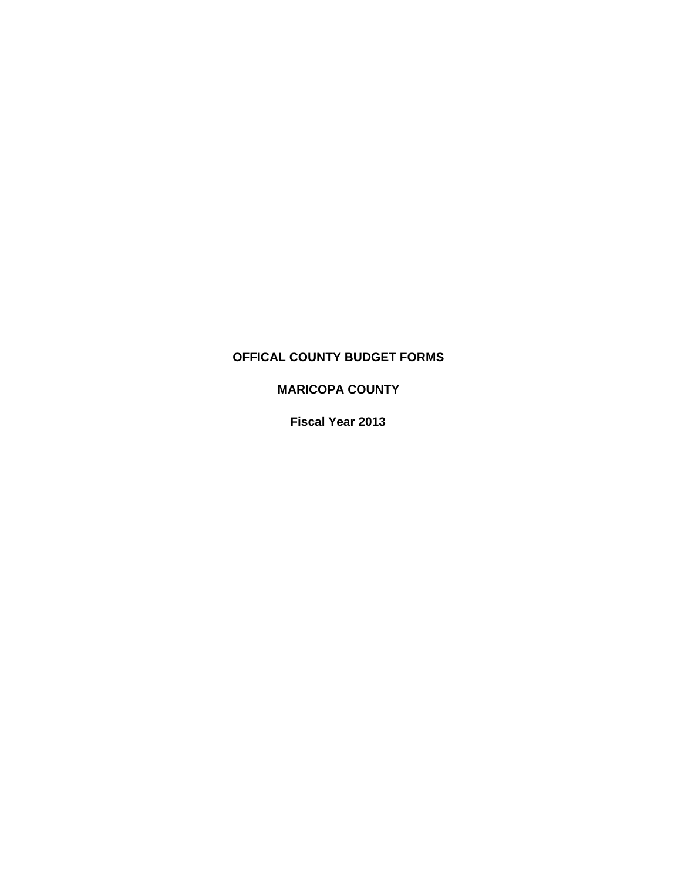# **OFFICAL COUNTY BUDGET FORMS**

# **MARICOPA COUNTY**

**Fiscal Year 2013**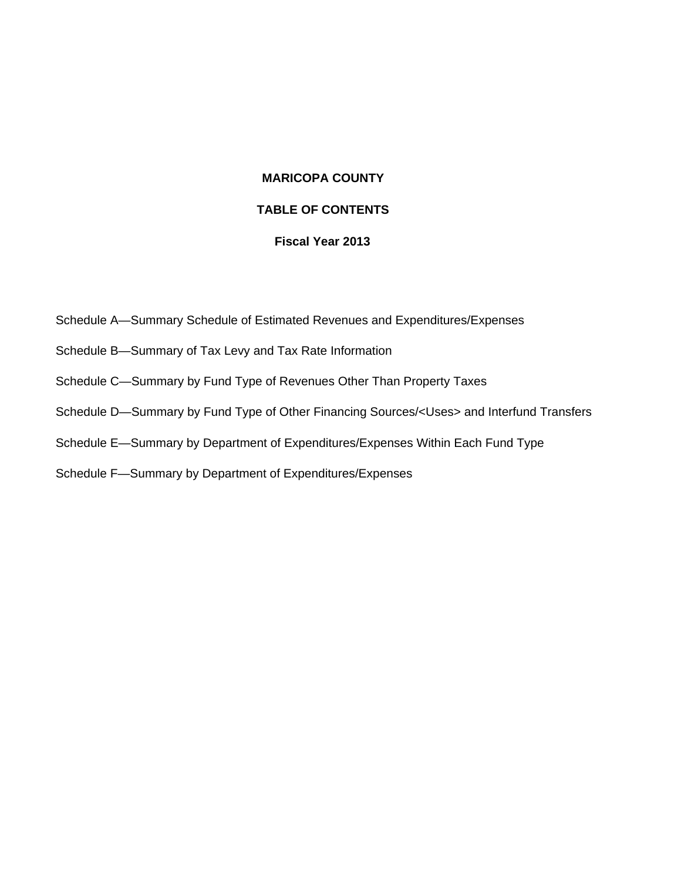# **MARICOPA COUNTY**

# **TABLE OF CONTENTS**

# **Fiscal Year 2013**

- Schedule A—Summary Schedule of Estimated Revenues and Expenditures/Expenses
- Schedule B—Summary of Tax Levy and Tax Rate Information
- Schedule C—Summary by Fund Type of Revenues Other Than Property Taxes
- Schedule D—Summary by Fund Type of Other Financing Sources/<Uses> and Interfund Transfers
- Schedule E—Summary by Department of Expenditures/Expenses Within Each Fund Type
- Schedule F—Summary by Department of Expenditures/Expenses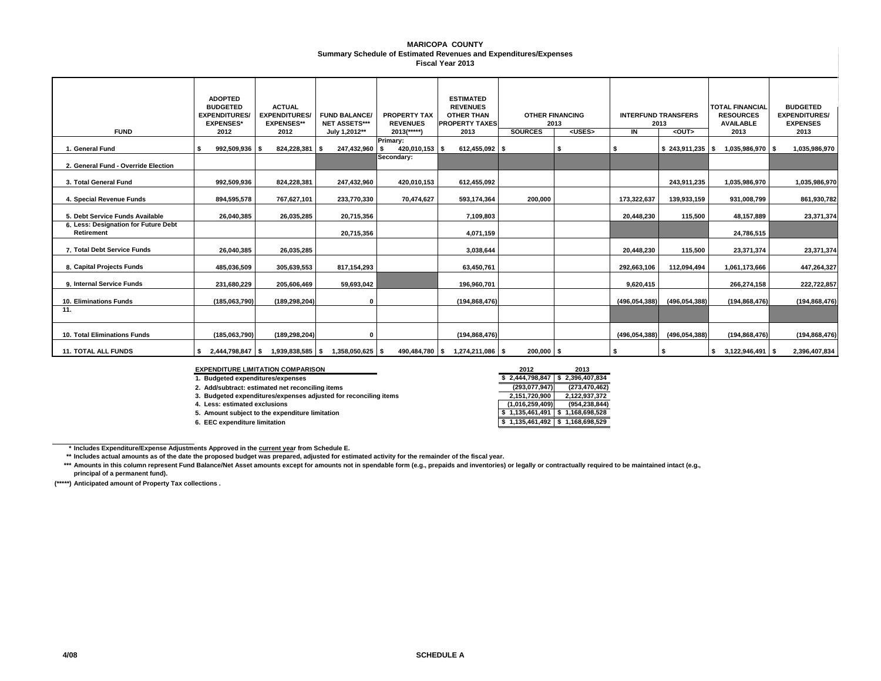#### **MARICOPA COUNTY Summary Schedule of Estimated Revenues and Expenditures/Expenses Fiscal Year 2013**

| <b>FUND</b>                                               | <b>ADOPTED</b><br><b>BUDGETED</b><br><b>EXPENDITURES/</b><br><b>EXPENSES*</b><br>2012 | <b>ACTUAL</b><br><b>EXPENDITURES/</b><br><b>EXPENSES**</b><br>2012 | <b>FUND BALANCE/</b><br><b>NET ASSETS***</b><br>July 1,2012** | <b>PROPERTY TAX</b><br><b>REVENUES</b><br>$2013$ <sup>*****</sup> ) | <b>ESTIMATED</b><br><b>REVENUES</b><br><b>OTHER THAN</b><br><b>PROPERTY TAXES</b><br>2013 | <b>OTHER FINANCING</b><br>2013<br><b>SOURCES</b><br><uses></uses> |  | IN            | <b>INTERFUND TRANSFERS</b><br>2013<br><out></out> | <b>TOTAL FINANCIAL</b><br><b>RESOURCES</b><br><b>AVAILABLE</b><br>2013 | <b>BUDGETED</b><br><b>EXPENDITURES/</b><br><b>EXPENSES</b><br>2013 |
|-----------------------------------------------------------|---------------------------------------------------------------------------------------|--------------------------------------------------------------------|---------------------------------------------------------------|---------------------------------------------------------------------|-------------------------------------------------------------------------------------------|-------------------------------------------------------------------|--|---------------|---------------------------------------------------|------------------------------------------------------------------------|--------------------------------------------------------------------|
| 1. General Fund                                           | 992,509,936 \$                                                                        | 824,228,381                                                        | 247,432,960 \$<br>- \$                                        | Primary:<br>420,010,153 \$                                          | 612,455,092 \$                                                                            |                                                                   |  |               | $$243,911,235$ \\$                                | 1,035,986,970 \$                                                       | 1,035,986,970                                                      |
| 2. General Fund - Override Election                       |                                                                                       |                                                                    |                                                               | Secondary:                                                          |                                                                                           |                                                                   |  |               |                                                   |                                                                        |                                                                    |
| 3. Total General Fund                                     | 992,509,936                                                                           | 824,228,381                                                        | 247,432,960                                                   | 420,010,153                                                         | 612,455,092                                                                               |                                                                   |  |               | 243,911,235                                       | 1,035,986,970                                                          | 1,035,986,970                                                      |
| 4. Special Revenue Funds                                  | 894,595,578                                                                           | 767,627,101                                                        | 233,770,330                                                   | 70,474,627                                                          | 593,174,364                                                                               | 200,000                                                           |  | 173,322,637   | 139,933,159                                       | 931,008,799                                                            | 861,930,782                                                        |
| 5. Debt Service Funds Available                           | 26,040,385                                                                            | 26,035,285                                                         | 20,715,356                                                    |                                                                     | 7,109,803                                                                                 |                                                                   |  | 20,448,230    | 115,500                                           | 48,157,889                                                             | 23,371,374                                                         |
| 6. Less: Designation for Future Debt<br><b>Retirement</b> |                                                                                       |                                                                    | 20,715,356                                                    |                                                                     | 4,071,159                                                                                 |                                                                   |  |               |                                                   | 24,786,515                                                             |                                                                    |
| 7. Total Debt Service Funds                               | 26.040.385                                                                            | 26,035,285                                                         |                                                               |                                                                     | 3,038,644                                                                                 |                                                                   |  | 20,448,230    | 115,500                                           | 23,371,374                                                             | 23,371,374                                                         |
| 8. Capital Projects Funds                                 | 485,036,509                                                                           | 305,639,553                                                        | 817,154,293                                                   |                                                                     | 63.450.761                                                                                |                                                                   |  | 292.663.106   | 112,094,494                                       | 1.061.173.666                                                          | 447,264,327                                                        |
| 9. Internal Service Funds                                 | 231,680,229                                                                           | 205,606,469                                                        | 59,693,042                                                    |                                                                     | 196,960,701                                                                               |                                                                   |  | 9,620,415     |                                                   | 266,274,158                                                            | 222,722,857                                                        |
| <b>10. Eliminations Funds</b>                             | (185,063,790)                                                                         | (189, 298, 204)                                                    | 0                                                             |                                                                     | (194, 868, 476)                                                                           |                                                                   |  | (496,054,388) | (496, 054, 388)                                   | (194, 868, 476)                                                        | (194, 868, 476)                                                    |
| 11.                                                       |                                                                                       |                                                                    |                                                               |                                                                     |                                                                                           |                                                                   |  |               |                                                   |                                                                        |                                                                    |
| 10. Total Eliminations Funds                              | (185,063,790)                                                                         | (189, 298, 204)                                                    | 0                                                             |                                                                     | (194, 868, 476)                                                                           |                                                                   |  | (496,054,388) | (496,054,388)                                     | (194, 868, 476)                                                        | (194, 868, 476)                                                    |
| <b>11. TOTAL ALL FUNDS</b>                                |                                                                                       | $$2,444,798,847$ $$1,939,838,585$ $$1,358,050,625$ $$5$            |                                                               |                                                                     | 490,484,780 \$ 1,274,211,086 \$                                                           | 200,000 \$                                                        |  | ŝ.            |                                                   | $$3,122,946,491$ \ \ \$                                                | 2,396,407,834                                                      |

### **EXPENDITURE LIMITATION COMPARISON 2012 2013**

**1. Budgeted expenditures/expenses \$ 2,396,407,834 2,444,798,847 \$** 

**2. Add/subtract: estimated net reconciling items (273,470,462) (293,077,947)**

**3. Budgeted expenditures/expenses adjusted for reconciling items 2,122,937,372 2,151,720,900**

**4. Less: estimated exclusions (954,238,844) (1,016,259,409)**

**5. Amount subject to the expenditure limitation** 

**6. EEC expenditure limitation** 

| 2012            | 2013            |
|-----------------|-----------------|
| 2,444,798,847   | 2,396,407,834   |
| (293,077,947)   | (273, 470, 462) |
| 2,151,720,900   | 2,122,937,372   |
| (1,016,259,409) | (954, 238, 844) |
| 1,135,461,491   | 1,168,698,528   |
| 1,135,461,492   | 1,168,698,529   |
|                 |                 |

**\* Includes Expenditure/Expense Adjustments Approved in the current year from Schedule E.** 

**\*\*Includes actual amounts as of the date the proposed budget was prepared, adjusted for estimated activity for the remainder of the fiscal year.**

**\*\*\*** Amounts in this column represent Fund Balance/Net Asset amounts except for amounts not in spendable form (e.g., prepaids and inventories) or legally or contractually required to be maintained intact (e.g., **principal of a permanent fund).**

**(\*\*\*\*\*) Anticipated amount of Property Tax collections .**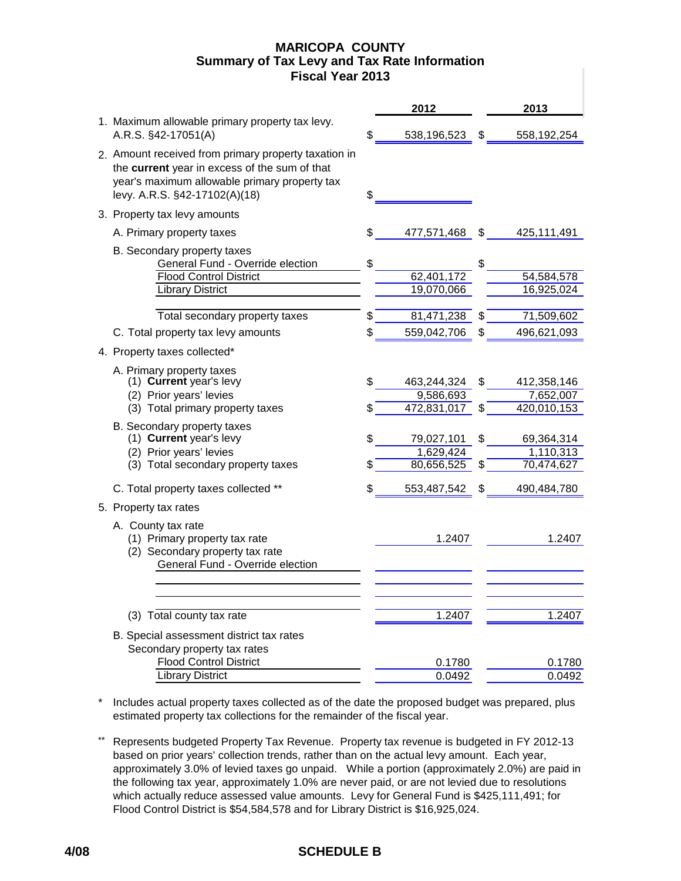## **Fiscal Year 2013 MARICOPA COUNTY Summary of Tax Levy and Tax Rate Information**

|                                                                                                                                                                                         |         | 2012                                  |          | 2013                                  |
|-----------------------------------------------------------------------------------------------------------------------------------------------------------------------------------------|---------|---------------------------------------|----------|---------------------------------------|
| 1. Maximum allowable primary property tax levy.<br>A.R.S. §42-17051(A)                                                                                                                  | \$      | 538,196,523                           | \$       | 558,192,254                           |
| 2. Amount received from primary property taxation in<br>the current year in excess of the sum of that<br>year's maximum allowable primary property tax<br>levy. A.R.S. §42-17102(A)(18) | \$      |                                       |          |                                       |
| 3. Property tax levy amounts                                                                                                                                                            |         |                                       |          |                                       |
| A. Primary property taxes                                                                                                                                                               | S       | 477,571,468                           | \$       | 425,111,491                           |
| B. Secondary property taxes<br>General Fund - Override election<br><b>Flood Control District</b><br><b>Library District</b>                                                             | \$      | 62,401,172<br>19,070,066              | \$       | 54,584,578<br>16,925,024              |
|                                                                                                                                                                                         |         |                                       |          |                                       |
| Total secondary property taxes                                                                                                                                                          |         | 81,471,238                            |          | 71,509,602                            |
| C. Total property tax levy amounts                                                                                                                                                      | S       | 559,042,706                           | \$       | 496,621,093                           |
| 4. Property taxes collected*                                                                                                                                                            |         |                                       |          |                                       |
| A. Primary property taxes<br>(1) Current year's levy<br>(2) Prior years' levies                                                                                                         | \$      | 463,244,324<br>9,586,693              | S        | 412,358,146<br>7,652,007              |
| (3) Total primary property taxes                                                                                                                                                        | S       | 472,831,017                           | \$       | 420,010,153                           |
| B. Secondary property taxes<br>(1) Current year's levy<br>(2) Prior years' levies<br>(3) Total secondary property taxes                                                                 | S<br>\$ | 79,027,101<br>1,629,424<br>80,656,525 | \$<br>\$ | 69,364,314<br>1,110,313<br>70,474,627 |
| C. Total property taxes collected **                                                                                                                                                    | \$      | 553,487,542                           | \$       | 490,484,780                           |
| 5. Property tax rates                                                                                                                                                                   |         |                                       |          |                                       |
| A. County tax rate<br>(1) Primary property tax rate<br>(2) Secondary property tax rate<br>General Fund - Override election                                                              |         | 1.2407                                |          | 1.2407                                |
|                                                                                                                                                                                         |         |                                       |          |                                       |
| (3) Total county tax rate                                                                                                                                                               |         | 1.2407                                |          | 1.2407                                |
| B. Special assessment district tax rates<br>Secondary property tax rates                                                                                                                |         |                                       |          |                                       |
| <b>Flood Control District</b>                                                                                                                                                           |         | 0.1780                                |          | 0.1780                                |
| <b>Library District</b>                                                                                                                                                                 |         | 0.0492                                |          | 0.0492                                |

\* Includes actual property taxes collected as of the date the proposed budget was prepared, plus estimated property tax collections for the remainder of the fiscal year.

\*\* Represents budgeted Property Tax Revenue. Property tax revenue is budgeted in FY 2012-13 based on prior years' collection trends, rather than on the actual levy amount. Each year, approximately 3.0% of levied taxes go unpaid. While a portion (approximately 2.0%) are paid in the following tax year, approximately 1.0% are never paid, or are not levied due to resolutions which actually reduce assessed value amounts. Levy for General Fund is \$425,111,491; for Flood Control District is \$54,584,578 and for Library District is \$16,925,024.

# **4/08 SCHEDULE B**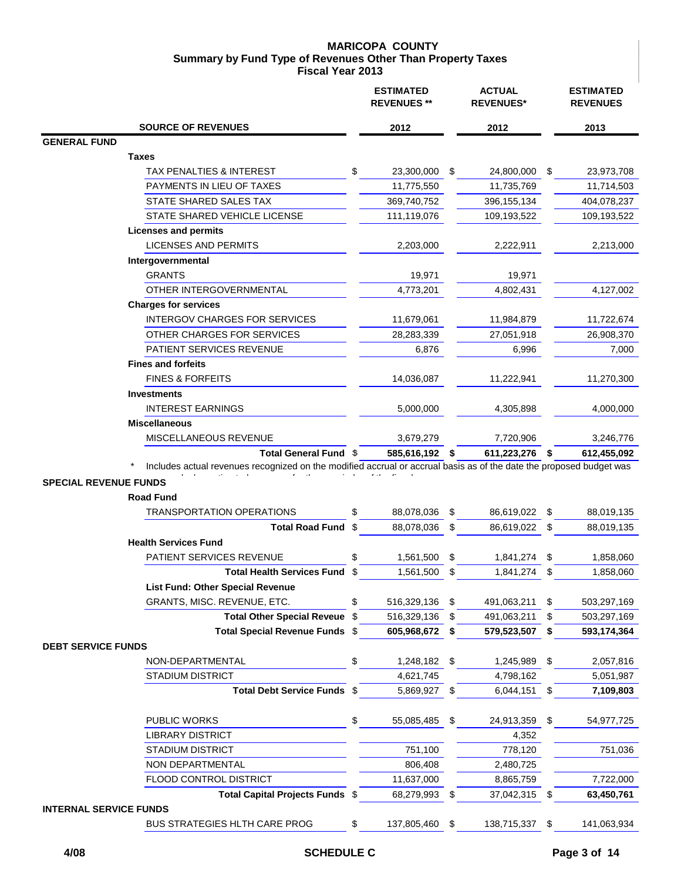### **MARICOPA COUNTY Summary by Fund Type of Revenues Other Than Property Taxes Fiscal Year 2013**

|                                                                                                                     |      | <b>ESTIMATED</b><br><b>REVENUES**</b> |    | <b>ACTUAL</b><br><b>REVENUES*</b> |      | <b>ESTIMATED</b><br><b>REVENUES</b> |
|---------------------------------------------------------------------------------------------------------------------|------|---------------------------------------|----|-----------------------------------|------|-------------------------------------|
| <b>SOURCE OF REVENUES</b>                                                                                           |      | 2012                                  |    | 2012                              |      | 2013                                |
| <b>GENERAL FUND</b>                                                                                                 |      |                                       |    |                                   |      |                                     |
| Taxes                                                                                                               |      |                                       |    |                                   |      |                                     |
| TAX PENALTIES & INTEREST                                                                                            | \$   | 23,300,000                            | S  | 24,800,000                        | \$   | 23,973,708                          |
| PAYMENTS IN LIEU OF TAXES                                                                                           |      | 11,775,550                            |    | 11,735,769                        |      | 11,714,503                          |
| STATE SHARED SALES TAX                                                                                              |      | 369,740,752                           |    | 396, 155, 134                     |      | 404,078,237                         |
| STATE SHARED VEHICLE LICENSE                                                                                        |      | 111,119,076                           |    | 109,193,522                       |      | 109,193,522                         |
| <b>Licenses and permits</b>                                                                                         |      |                                       |    |                                   |      |                                     |
| <b>LICENSES AND PERMITS</b>                                                                                         |      | 2,203,000                             |    | 2,222,911                         |      | 2,213,000                           |
| Intergovernmental                                                                                                   |      |                                       |    |                                   |      |                                     |
| <b>GRANTS</b>                                                                                                       |      | 19,971                                |    | 19,971                            |      |                                     |
| OTHER INTERGOVERNMENTAL                                                                                             |      | 4,773,201                             |    | 4,802,431                         |      | 4,127,002                           |
| <b>Charges for services</b>                                                                                         |      |                                       |    |                                   |      |                                     |
| <b>INTERGOV CHARGES FOR SERVICES</b>                                                                                |      | 11,679,061                            |    | 11,984,879                        |      | 11,722,674                          |
| OTHER CHARGES FOR SERVICES                                                                                          |      | 28,283,339                            |    | 27,051,918                        |      | 26,908,370                          |
| PATIENT SERVICES REVENUE                                                                                            |      | 6,876                                 |    | 6,996                             |      | 7,000                               |
| <b>Fines and forfeits</b>                                                                                           |      |                                       |    |                                   |      |                                     |
| <b>FINES &amp; FORFEITS</b>                                                                                         |      | 14,036,087                            |    | 11,222,941                        |      | 11,270,300                          |
| <b>Investments</b>                                                                                                  |      |                                       |    |                                   |      |                                     |
| <b>INTEREST EARNINGS</b>                                                                                            |      | 5,000,000                             |    | 4,305,898                         |      | 4,000,000                           |
| <b>Miscellaneous</b>                                                                                                |      |                                       |    |                                   |      |                                     |
| <b>MISCELLANEOUS REVENUE</b>                                                                                        |      | 3,679,279                             |    | 7,720,906                         |      | 3,246,776                           |
| Total General Fund \$                                                                                               |      | 585,616,192 \$                        |    | 611,223,276 \$                    |      | 612,455,092                         |
| Includes actual revenues recognized on the modified accrual or accrual basis as of the date the proposed budget was |      |                                       |    |                                   |      |                                     |
| <b>SPECIAL REVENUE FUNDS</b>                                                                                        |      |                                       |    |                                   |      |                                     |
| <b>Road Fund</b>                                                                                                    |      |                                       |    |                                   |      |                                     |
| <b>TRANSPORTATION OPERATIONS</b>                                                                                    | \$   | 88,078,036                            | \$ | 86,619,022                        | - \$ | 88,019,135                          |
| <b>Total Road Fund</b>                                                                                              | \$   | 88,078,036                            | \$ | 86,619,022                        | \$   | 88,019,135                          |
| <b>Health Services Fund</b>                                                                                         |      |                                       |    |                                   |      |                                     |
| PATIENT SERVICES REVENUE                                                                                            | \$   | 1,561,500                             | \$ | 1,841,274                         | - \$ | 1,858,060                           |
| Total Health Services Fund \$                                                                                       |      | 1,561,500                             | \$ | 1,841,274 \$                      |      | 1,858,060                           |
| <b>List Fund: Other Special Revenue</b>                                                                             |      |                                       |    |                                   |      |                                     |
| GRANTS, MISC. REVENUE, ETC.                                                                                         | \$   | 516,329,136                           | \$ | 491,063,211                       | \$   | 503,297,169                         |
| Total Other Special Reveue \$                                                                                       |      | 516,329,136                           | \$ | 491,063,211                       | \$   | 503,297,169                         |
| Total Special Revenue Funds \$                                                                                      |      | 605,968,672                           | \$ | 579,523,507                       | \$   | 593,174,364                         |
| <b>DEBT SERVICE FUNDS</b>                                                                                           |      |                                       |    |                                   |      |                                     |
| NON-DEPARTMENTAL                                                                                                    | \$   | 1,248,182                             | \$ | 1,245,989                         | -\$  | 2,057,816                           |
| <b>STADIUM DISTRICT</b>                                                                                             |      | 4,621,745                             |    | 4,798,162                         |      | 5,051,987                           |
| <b>Total Debt Service Funds</b>                                                                                     | - \$ | 5,869,927                             | \$ | 6,044,151 \$                      |      | 7,109,803                           |
|                                                                                                                     |      |                                       |    |                                   |      |                                     |
| PUBLIC WORKS                                                                                                        | \$   | 55,085,485                            | \$ | 24,913,359                        | \$   | 54,977,725                          |
| <b>LIBRARY DISTRICT</b>                                                                                             |      |                                       |    | 4,352                             |      |                                     |
| <b>STADIUM DISTRICT</b>                                                                                             |      | 751,100                               |    | 778,120                           |      | 751,036                             |
| NON DEPARTMENTAL                                                                                                    |      | 806,408                               |    | 2,480,725                         |      |                                     |
| FLOOD CONTROL DISTRICT                                                                                              |      | 11,637,000                            |    | 8,865,759                         |      | 7,722,000                           |
| Total Capital Projects Funds \$                                                                                     |      | 68,279,993                            | \$ | 37,042,315 \$                     |      | 63,450,761                          |
| <b>INTERNAL SERVICE FUNDS</b>                                                                                       |      |                                       |    |                                   |      |                                     |
| BUS STRATEGIES HLTH CARE PROG                                                                                       | \$   | 137,805,460                           | \$ | 138,715,337 \$                    |      | 141,063,934                         |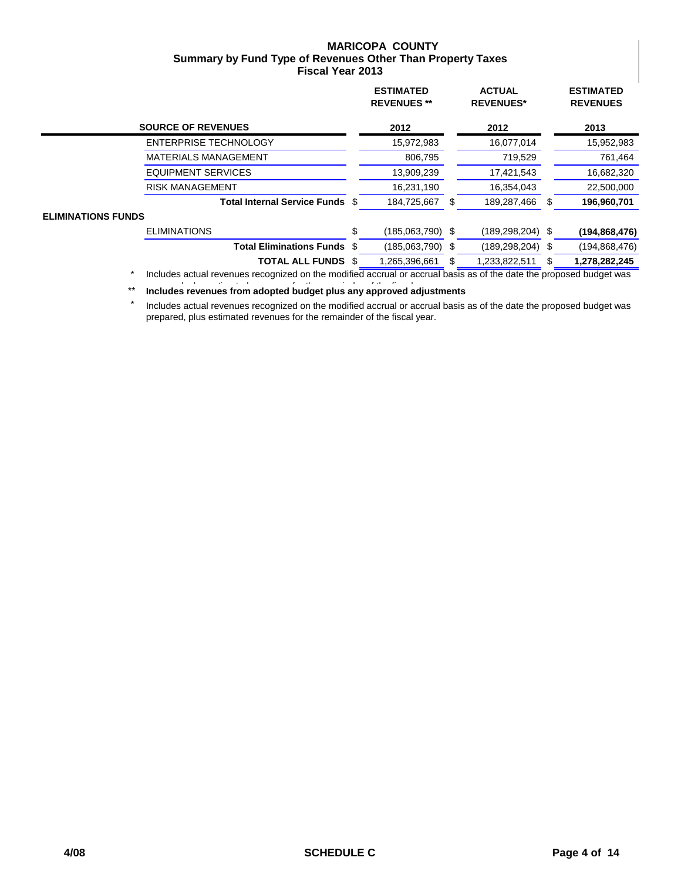### **MARICOPA COUNTY Summary by Fund Type of Revenues Other Than Property Taxes Fiscal Year 2013**

|                           |                                                                                                                                  |     | <b>ESTIMATED</b><br><b>REVENUES**</b> |    | <b>ACTUAL</b><br><b>REVENUES*</b> |      | <b>ESTIMATED</b><br><b>REVENUES</b> |
|---------------------------|----------------------------------------------------------------------------------------------------------------------------------|-----|---------------------------------------|----|-----------------------------------|------|-------------------------------------|
|                           | <b>SOURCE OF REVENUES</b>                                                                                                        |     | 2012                                  |    | 2012                              |      | 2013                                |
|                           | <b>ENTERPRISE TECHNOLOGY</b>                                                                                                     |     | 15,972,983                            |    | 16,077,014                        |      | 15,952,983                          |
|                           | <b>MATERIALS MANAGEMENT</b>                                                                                                      |     | 806,795                               |    | 719,529                           |      | 761,464                             |
|                           | <b>EQUIPMENT SERVICES</b>                                                                                                        |     | 13,909,239                            |    | 17,421,543                        |      | 16,682,320                          |
|                           | <b>RISK MANAGEMENT</b>                                                                                                           |     | 16,231,190                            |    | 16,354,043                        |      | 22,500,000                          |
|                           | <b>Total Internal Service Funds</b>                                                                                              | S   | 184,725,667                           | S  | 189,287,466                       | S    | 196,960,701                         |
| <b>ELIMINATIONS FUNDS</b> |                                                                                                                                  |     |                                       |    |                                   |      |                                     |
|                           | <b>ELIMINATIONS</b>                                                                                                              | \$  | $(185,063,790)$ \$                    |    | $(189, 298, 204)$ \$              |      | (194, 868, 476)                     |
|                           | <b>Total Eliminations Funds</b>                                                                                                  | \$. | $(185,063,790)$ \$                    |    | (189, 298, 204)                   | - \$ | (194, 868, 476)                     |
|                           | <b>TOTAL ALL FUNDS</b>                                                                                                           |     | 1,265,396,661                         | SБ | 1,233,822,511                     |      | 1,278,282,245                       |
|                           | $\star$ . The studies is a second contract to the modified consideration of decision of the detailed and considerably in $\star$ |     |                                       |    |                                   |      |                                     |

 \* Includes actual revenues recognized on the modified accrual or accrual basis as of the date the proposed budget was

\*\* Includes revenues from adopted budget plus any approved adjustments

Includes actual revenues recognized on the modified accrual or accrual basis as of the date the proposed budget was prepared, plus estimated revenues for the remainder of the fiscal year.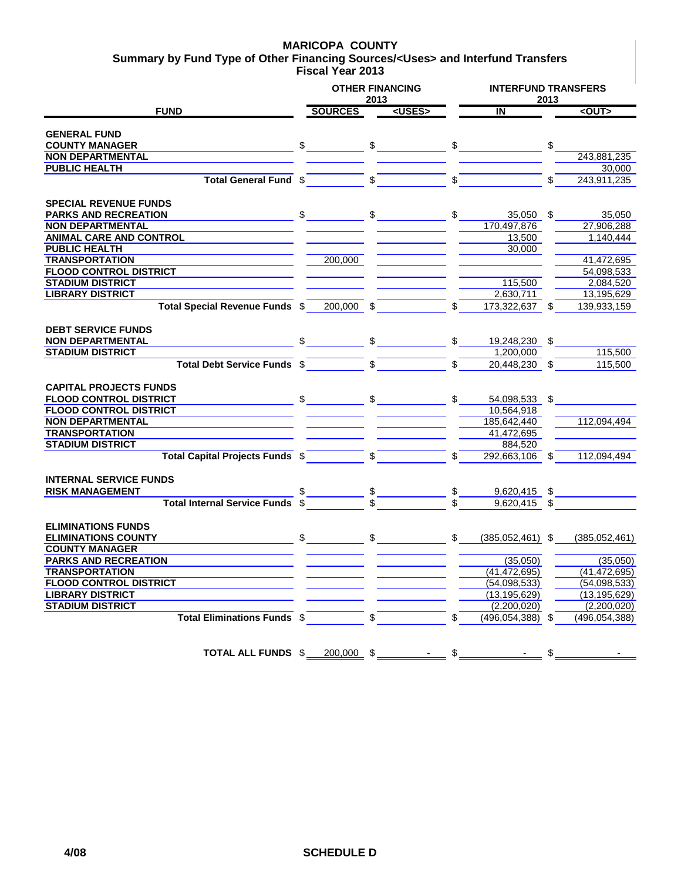### **MARICOPA COUNTY**

**Summary by Fund Type of Other Financing Sources/<Uses> and Interfund Transfers Fiscal Year 2013**

|                                        |     |                | 2013         | <b>OTHER FINANCING</b> |                               |                         | 2013 | <b>INTERFUND TRANSFERS</b> |  |  |
|----------------------------------------|-----|----------------|--------------|------------------------|-------------------------------|-------------------------|------|----------------------------|--|--|
| <b>FUND</b>                            |     | <b>SOURCES</b> |              | <uses></uses>          |                               | $\overline{\mathbf{N}}$ |      | $<$ OUT $>$                |  |  |
|                                        |     |                |              |                        |                               |                         |      |                            |  |  |
| <b>GENERAL FUND</b>                    |     |                |              |                        |                               |                         |      |                            |  |  |
| <b>COUNTY MANAGER</b>                  | \$  |                | $\mathbb{S}$ |                        |                               |                         |      |                            |  |  |
| <b>NON DEPARTMENTAL</b>                |     |                |              |                        |                               |                         |      | 243.881.235                |  |  |
| <b>PUBLIC HEALTH</b>                   |     |                |              |                        |                               |                         |      | 30,000                     |  |  |
| Total General Fund \$                  |     |                | \$           |                        | \$                            |                         | \$   | 243,911,235                |  |  |
| <b>SPECIAL REVENUE FUNDS</b>           |     |                |              |                        |                               |                         |      |                            |  |  |
| <b>PARKS AND RECREATION</b>            |     |                | \$           |                        |                               | 35,050                  | \$   | 35.050                     |  |  |
| <b>NON DEPARTMENTAL</b>                |     |                |              |                        |                               | 170,497,876             |      | 27,906,288                 |  |  |
| <b>ANIMAL CARE AND CONTROL</b>         |     |                |              |                        |                               | 13,500                  |      | 1.140.444                  |  |  |
| <b>PUBLIC HEALTH</b>                   |     |                |              |                        |                               | 30.000                  |      |                            |  |  |
| <b>TRANSPORTATION</b>                  |     | 200,000        |              |                        |                               |                         |      | 41,472,695                 |  |  |
| <b>FLOOD CONTROL DISTRICT</b>          |     |                |              |                        |                               |                         |      | 54,098,533                 |  |  |
| <b>STADIUM DISTRICT</b>                |     |                |              |                        |                               | 115,500                 |      | 2,084,520                  |  |  |
| <b>LIBRARY DISTRICT</b>                |     |                |              |                        |                               | 2,630,711               |      | 13,195,629                 |  |  |
| Total Special Revenue Funds \$         |     | 200,000        | \$           |                        |                               | 173,322,637             |      | 139,933,159                |  |  |
|                                        |     |                |              |                        |                               |                         |      |                            |  |  |
| <b>DEBT SERVICE FUNDS</b>              |     |                |              |                        |                               |                         |      |                            |  |  |
| <b>NON DEPARTMENTAL</b>                |     |                | \$           |                        | $\mathbb{S}$ and $\mathbb{S}$ | 19,248,230              | \$   |                            |  |  |
| <b>STADIUM DISTRICT</b>                |     |                |              |                        |                               | 1,200,000               |      | 115,500                    |  |  |
| Total Debt Service Funds \$            |     |                | $\mathbb{S}$ |                        | \$                            | 20,448,230              | \$   | 115,500                    |  |  |
|                                        |     |                |              |                        |                               |                         |      |                            |  |  |
| <b>CAPITAL PROJECTS FUNDS</b>          |     |                |              |                        |                               |                         |      |                            |  |  |
| <b>FLOOD CONTROL DISTRICT</b>          | \$  |                | $\mathbb{S}$ |                        | \$.                           | 54,098,533              | \$   |                            |  |  |
| <b>FLOOD CONTROL DISTRICT</b>          |     |                |              |                        |                               | 10,564,918              |      |                            |  |  |
| <b>NON DEPARTMENTAL</b>                |     |                |              |                        |                               | 185,642,440             |      | 112,094,494                |  |  |
| <b>TRANSPORTATION</b>                  |     |                |              |                        |                               | 41,472,695              |      |                            |  |  |
| <b>STADIUM DISTRICT</b>                |     |                |              |                        |                               | 884,520                 |      |                            |  |  |
| <b>Total Capital Projects Funds \$</b> |     |                | \$           |                        |                               | 292,663,106 \$          |      | 112,094,494                |  |  |
|                                        |     |                |              |                        |                               |                         |      |                            |  |  |
| <b>INTERNAL SERVICE FUNDS</b>          |     |                |              |                        |                               |                         |      |                            |  |  |
| <b>RISK MANAGEMENT</b>                 |     |                |              |                        |                               | 9,620,415 \$            |      |                            |  |  |
| <b>Total Internal Service Funds</b>    |     |                |              | $-\frac{\$}{\$}$       |                               | 9.620.415 \$            |      |                            |  |  |
|                                        |     |                |              |                        |                               |                         |      |                            |  |  |
| <b>ELIMINATIONS FUNDS</b>              |     |                |              |                        |                               |                         |      |                            |  |  |
| <b>ELIMINATIONS COUNTY</b>             | \$. |                | $\mathbb{S}$ |                        | $\mathbb{S}^-$                |                         |      |                            |  |  |
| <b>COUNTY MANAGER</b>                  |     |                |              |                        |                               | $(385,052,461)$ \$      |      | (385,052,461)              |  |  |
| <b>PARKS AND RECREATION</b>            |     |                |              |                        |                               | (35,050)                |      | (35,050)                   |  |  |
| <b>TRANSPORTATION</b>                  |     |                |              |                        |                               | (41, 472, 695)          |      | (41, 472, 695)             |  |  |
| <b>FLOOD CONTROL DISTRICT</b>          |     |                |              |                        |                               | (54,098,533)            |      | (54,098,533)               |  |  |
| <b>LIBRARY DISTRICT</b>                |     |                |              |                        |                               | (13, 195, 629)          |      | (13, 195, 629)             |  |  |
| <b>STADIUM DISTRICT</b>                |     |                |              |                        |                               | (2,200,020)             |      | (2,200,020)                |  |  |
| <b>Total Eliminations Funds \$</b>     |     |                |              |                        |                               | (496, 054, 388)         |      | (496, 054, 388)            |  |  |
|                                        |     |                |              |                        |                               |                         |      |                            |  |  |
|                                        |     |                |              |                        |                               |                         |      |                            |  |  |
| <b>TOTAL ALL FUNDS \$</b>              |     | 200,000 \$     |              |                        | \$                            |                         | \$   |                            |  |  |
|                                        |     |                |              |                        |                               |                         |      |                            |  |  |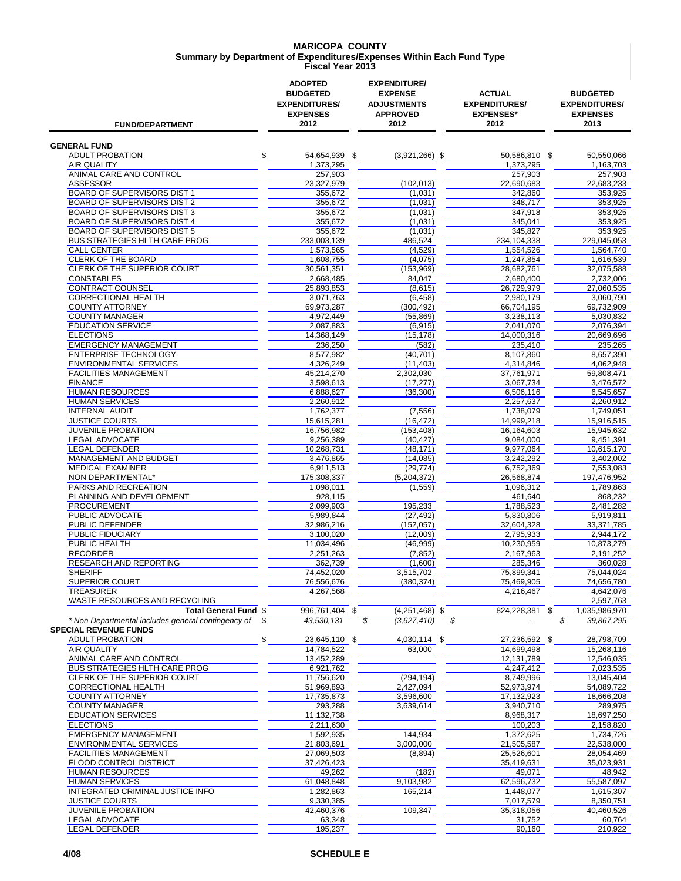#### **MARICOPA COUNTY Summary by Department of Expenditures/Expenses Within Each Fund Type Fiscal Year 2013**

| <b>FUND/DEPARTMENT</b>                                                             | <b>ADOPTED</b><br><b>BUDGETED</b><br><b>EXPENDITURES/</b><br><b>EXPENSES</b><br>2012 | <b>EXPENDITURE/</b><br><b>EXPENSE</b><br><b>ADJUSTMENTS</b><br><b>APPROVED</b><br>2012 | <b>ACTUAL</b><br><b>EXPENDITURES/</b><br><b>EXPENSES*</b><br>2012 | <b>BUDGETED</b><br><b>EXPENDITURES/</b><br><b>EXPENSES</b><br>2013 |
|------------------------------------------------------------------------------------|--------------------------------------------------------------------------------------|----------------------------------------------------------------------------------------|-------------------------------------------------------------------|--------------------------------------------------------------------|
| <b>GENERAL FUND</b>                                                                |                                                                                      |                                                                                        |                                                                   |                                                                    |
| <b>ADULT PROBATION</b>                                                             | \$<br>54,654,939 \$                                                                  | $(3,921,266)$ \$                                                                       | 50,586,810 \$                                                     | 50,550,066                                                         |
| AIR QUALITY                                                                        | 1,373,295                                                                            |                                                                                        | 1,373,295                                                         | 1,163,703                                                          |
| ANIMAL CARE AND CONTROL                                                            | 257,903                                                                              |                                                                                        | 257,903                                                           | 257,903                                                            |
| <b>ASSESSOR</b>                                                                    | 23,327,979                                                                           | (102, 013)                                                                             | 22,690,683                                                        | 22,683,233                                                         |
| BOARD OF SUPERVISORS DIST 1<br><b>BOARD OF SUPERVISORS DIST 2</b>                  | 355,672                                                                              | (1,031)                                                                                | 342,860<br>348.717                                                | 353.925<br>353.925                                                 |
| BOARD OF SUPERVISORS DIST 3                                                        | 355,672<br>355,672                                                                   | (1,031)<br>(1,031)                                                                     | 347,918                                                           | 353,925                                                            |
| BOARD OF SUPERVISORS DIST 4                                                        | 355,672                                                                              | (1,031)                                                                                | 345,041                                                           | 353,925                                                            |
| BOARD OF SUPERVISORS DIST 5                                                        | 355,672                                                                              | (1,031)                                                                                | 345,827                                                           | 353,925                                                            |
| <b>BUS STRATEGIES HLTH CARE PROG</b>                                               | 233,003,139                                                                          | 486,524                                                                                | 234,104,338                                                       | 229,045,053                                                        |
| <b>CALL CENTER</b>                                                                 | 1,573,565                                                                            | (4,529)                                                                                | 1,554,526                                                         | 1,564,740                                                          |
| <b>CLERK OF THE BOARD</b>                                                          | 1,608,755                                                                            | (4,075)                                                                                | 1,247,854                                                         | 1,616,539                                                          |
| CLERK OF THE SUPERIOR COURT                                                        | 30,561,351                                                                           | (153,969)                                                                              | 28,682,761                                                        | 32,075,588                                                         |
| <b>CONSTABLES</b>                                                                  | 2,668,485                                                                            | 84,047                                                                                 | 2,680,400                                                         | 2,732,006                                                          |
| CONTRACT COUNSEL                                                                   | 25,893,853                                                                           | (8,615)                                                                                | 26,729,979                                                        | 27,060,535                                                         |
| CORRECTIONAL HEALTH                                                                | 3,071,763                                                                            | (6, 458)                                                                               | 2,980,179                                                         | 3,060,790                                                          |
| <b>COUNTY ATTORNEY</b>                                                             | 69.973.287                                                                           | (300, 492)                                                                             | 66,704,195                                                        | 69.732.909                                                         |
| <b>COUNTY MANAGER</b><br><b>EDUCATION SERVICE</b>                                  | 4,972,449                                                                            | (55, 869)                                                                              | 3,238,113<br>2,041,070                                            | 5,030,832<br>2,076,394                                             |
| <b>ELECTIONS</b>                                                                   | 2,087,883<br>14,368,149                                                              | (6, 915)<br>(15, 178)                                                                  | 14,000,316                                                        | 20,669,696                                                         |
| <b>EMERGENCY MANAGEMENT</b>                                                        | 236,250                                                                              | (582)                                                                                  | 235.410                                                           | 235,265                                                            |
| <b>ENTERPRISE TECHNOLOGY</b>                                                       | 8,577,982                                                                            | (40, 701)                                                                              | 8,107,860                                                         | 8,657,390                                                          |
| <b>ENVIRONMENTAL SERVICES</b>                                                      | 4,326,249                                                                            | (11, 403)                                                                              | 4,314,846                                                         | 4,062,948                                                          |
| <b>FACILITIES MANAGEMENT</b>                                                       | 45,214,270                                                                           | 2,302,030                                                                              | 37,761,971                                                        | 59,808,471                                                         |
| <b>FINANCE</b>                                                                     | 3,598,613                                                                            | (17, 277)                                                                              | 3,067,734                                                         | 3,476,572                                                          |
| <b>HUMAN RESOURCES</b>                                                             | 6,888,627                                                                            | (36.300)                                                                               | 6,506,116                                                         | 6,545,657                                                          |
| <b>HUMAN SERVICES</b>                                                              | 2,260,912                                                                            |                                                                                        | 2,257,637                                                         | 2,260,912                                                          |
| <b>INTERNAL AUDIT</b>                                                              | 1,762,377                                                                            | (7, 556)                                                                               | 1,738,079                                                         | 1,749,051                                                          |
| <b>JUSTICE COURTS</b>                                                              | 15,615,281                                                                           | (16, 472)                                                                              | 14,999,218                                                        | 15,916,515                                                         |
| <b>JUVENILE PROBATION</b>                                                          | 16,756,982                                                                           | (153, 408)                                                                             | 16,164,603                                                        | 15,945,632                                                         |
| LEGAL ADVOCATE                                                                     | 9,256,389                                                                            | (40, 427)                                                                              | 9,084,000                                                         | 9,451,391                                                          |
| <b>LEGAL DEFENDER</b>                                                              | 10,268,731                                                                           | (48, 171)                                                                              | 9,977,064                                                         | 10,615,170                                                         |
| MANAGEMENT AND BUDGET                                                              | 3,476,865                                                                            | (14,085)                                                                               | 3,242,292                                                         | 3,402,002                                                          |
| <b>MEDICAL EXAMINER</b>                                                            | 6,911,513                                                                            | (29, 774)                                                                              | 6,752,369                                                         | 7,553,083                                                          |
| NON DEPARTMENTAL*<br>PARKS AND RECREATION                                          | 175,308,337<br>1,098,011                                                             | (5,204,372)<br>(1,559)                                                                 | 26,568,874<br>1,096,312                                           | 197,476,952<br>1,789,863                                           |
| PLANNING AND DEVELOPMENT                                                           | 928,115                                                                              |                                                                                        | 461,640                                                           | 868,232                                                            |
| <b>PROCUREMENT</b>                                                                 | 2,099,903                                                                            | 195,233                                                                                | 1,788,523                                                         | 2,481,282                                                          |
| PUBLIC ADVOCATE                                                                    | 5,989,844                                                                            | (27, 492)                                                                              | 5.830.806                                                         | 5,919,811                                                          |
| PUBLIC DEFENDER                                                                    | 32,986,216                                                                           | (152, 057)                                                                             | 32,604,328                                                        | 33,371,785                                                         |
| PUBLIC FIDUCIARY                                                                   | 3,100,020                                                                            | (12,009)                                                                               | 2,795,933                                                         | 2,944,172                                                          |
| PUBLIC HEALTH                                                                      | 11,034,496                                                                           | (46,999)                                                                               | 10,230,959                                                        | 10,873,279                                                         |
| <b>RECORDER</b>                                                                    | 2,251,263                                                                            | (7, 852)                                                                               | 2,167,963                                                         | 2,191,252                                                          |
| RESEARCH AND REPORTING                                                             | 362,739                                                                              | (1,600)                                                                                | 285,346                                                           | 360,028                                                            |
| <b>SHERIFF</b>                                                                     | 74,452,020                                                                           | 3,515,702                                                                              | 75.899.341                                                        | 75,044,024                                                         |
| <b>SUPERIOR COURT</b>                                                              | 76,556,676                                                                           | (380, 374)                                                                             | 75,469,905                                                        | 74,656,780                                                         |
| <b>TREASURER</b>                                                                   | 4,267,568                                                                            |                                                                                        | 4,216,467                                                         | 4,642,076                                                          |
| WASTE RESOURCES AND RECYCLING<br><b>Total General Fund \$</b>                      |                                                                                      |                                                                                        |                                                                   | 2,597,763                                                          |
| * Non Departmental includes general contingency of<br><b>SPECIAL REVENUE FUNDS</b> | 996,761,404 \$<br>43,530,131<br>\$                                                   | $(4,251,468)$ \$<br>\$<br>(3,627,410)<br>\$                                            | 824,228,381 \$                                                    | 1,035,986,970<br>\$<br>39,867,295                                  |
| <b>ADULT PROBATION</b>                                                             | \$<br>23,645,110 \$                                                                  | 4,030,114 \$                                                                           | 27,236,592 \$                                                     | 28,798,709                                                         |
| <b>AIR QUALITY</b>                                                                 | 14,784,522                                                                           | 63,000                                                                                 | 14,699,498                                                        | 15,268,116                                                         |
| ANIMAL CARE AND CONTROL                                                            | 13,452,289                                                                           |                                                                                        | 12,131,789                                                        | 12,546,035                                                         |
| <b>BUS STRATEGIES HLTH CARE PROG</b>                                               | 6,921,762                                                                            |                                                                                        | 4,247,412                                                         | 7,023,535                                                          |
| CLERK OF THE SUPERIOR COURT                                                        | 11,756,620                                                                           | (294, 194)                                                                             | 8,749,996                                                         | 13,045,404                                                         |
| CORRECTIONAL HEALTH                                                                | 51,969,893                                                                           | 2,427,094                                                                              | 52,973,974                                                        | 54,089,722                                                         |
| <b>COUNTY ATTORNEY</b>                                                             | 17,735,873                                                                           | 3,596,600                                                                              | 17,132,923                                                        | 18,666,208                                                         |
| <b>COUNTY MANAGER</b>                                                              | 293,288                                                                              | 3,639,614                                                                              | 3,940,710                                                         | 289,975                                                            |
| <b>EDUCATION SERVICES</b>                                                          | 11,132,738                                                                           |                                                                                        | 8,968,317                                                         | 18,697,250                                                         |
| <b>ELECTIONS</b>                                                                   | 2,211,630                                                                            |                                                                                        | 100,203                                                           | 2,158,820                                                          |
| <b>EMERGENCY MANAGEMENT</b>                                                        | 1,592,935                                                                            | 144,934                                                                                | 1,372,625                                                         | 1,734,726                                                          |
| ENVIRONMENTAL SERVICES                                                             | 21,803,691                                                                           | 3,000,000                                                                              | 21,505,587                                                        | 22,538,000                                                         |
| <b>FACILITIES MANAGEMENT</b>                                                       | 27,069,503                                                                           | (8,894)                                                                                | 25,526,601                                                        | 28,054,469                                                         |
| FLOOD CONTROL DISTRICT<br><b>HUMAN RESOURCES</b>                                   | 37,426,423                                                                           |                                                                                        | 35,419,631                                                        | 35,023,931<br>48,942                                               |
| <b>HUMAN SERVICES</b>                                                              | 49,262<br>61,048,848                                                                 | (182)<br>9,103,982                                                                     | 49,071<br>62,596,732                                              | 55,587,097                                                         |
| <b>INTEGRATED CRIMINAL JUSTICE INFO</b>                                            | 1,282,863                                                                            | 165,214                                                                                | 1,448,077                                                         | 1,615,307                                                          |
| <b>JUSTICE COURTS</b>                                                              | 9,330,385                                                                            |                                                                                        | 7,017,579                                                         | 8,350,751                                                          |
| JUVENILE PROBATION                                                                 | 42,460,376                                                                           | 109,347                                                                                | 35,318,056                                                        | 40,460,526                                                         |
| LEGAL ADVOCATE                                                                     | 63,348                                                                               |                                                                                        | 31,752                                                            | 60,764                                                             |
| LEGAL DEFENDER                                                                     | 195,237                                                                              |                                                                                        | 90,160                                                            | 210,922                                                            |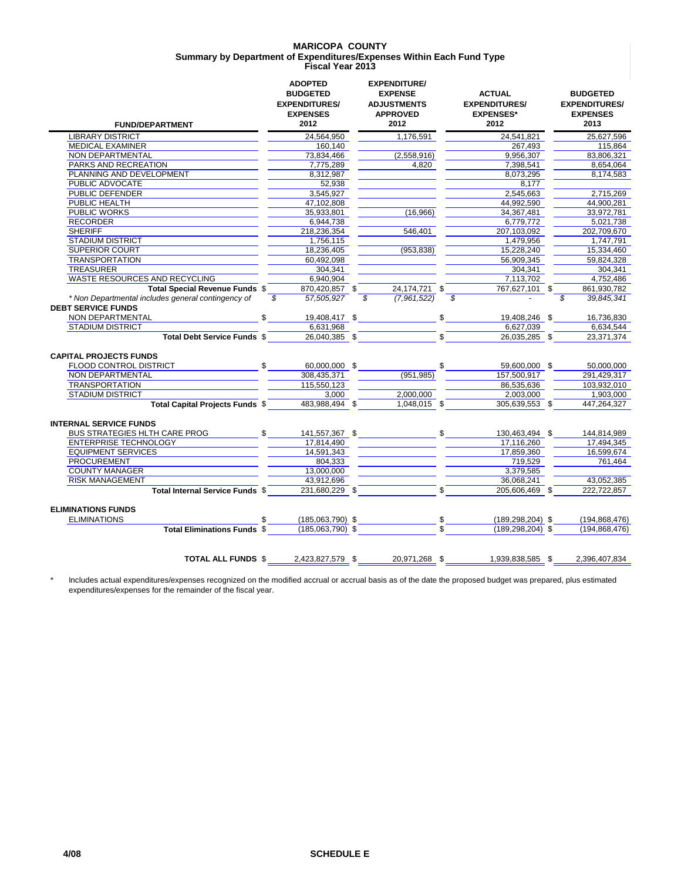### **MARICOPA COUNTY Summary by Department of Expenditures/Expenses Within Each Fund Type Fiscal Year 2013**

| <b>FUND/DEPARTMENT</b>                                                          |                          | <b>ADOPTED</b><br><b>BUDGETED</b><br><b>EXPENDITURES/</b><br><b>EXPENSES</b><br>2012 | <b>EXPENDITURE/</b><br><b>EXPENSE</b><br><b>ADJUSTMENTS</b><br><b>APPROVED</b><br>2012 |     | <b>ACTUAL</b><br><b>EXPENDITURES/</b><br><b>EXPENSES*</b><br>2012 |                | <b>BUDGETED</b><br><b>EXPENDITURES/</b><br><b>EXPENSES</b><br>2013 |
|---------------------------------------------------------------------------------|--------------------------|--------------------------------------------------------------------------------------|----------------------------------------------------------------------------------------|-----|-------------------------------------------------------------------|----------------|--------------------------------------------------------------------|
| <b>LIBRARY DISTRICT</b>                                                         |                          | 24,564,950                                                                           | 1,176,591                                                                              |     | 24,541,821                                                        |                | 25,627,596                                                         |
| <b>MEDICAL EXAMINER</b>                                                         |                          | 160,140                                                                              |                                                                                        |     | 267,493                                                           |                | 115,864                                                            |
| NON DEPARTMENTAL                                                                |                          | 73.834.466                                                                           | (2,558,916)                                                                            |     | 9.956.307                                                         |                | 83.806.321                                                         |
| PARKS AND RECREATION                                                            |                          | 7,775,289                                                                            | 4,820                                                                                  |     | 7,398,541                                                         |                | 8,654,064                                                          |
| PLANNING AND DEVELOPMENT                                                        |                          | 8,312,987                                                                            |                                                                                        |     | 8,073,295                                                         |                | 8,174,583                                                          |
| PUBLIC ADVOCATE                                                                 |                          | 52.938                                                                               |                                                                                        |     | 8,177                                                             |                |                                                                    |
| PUBLIC DEFENDER                                                                 |                          | 3,545,927                                                                            |                                                                                        |     | 2,545,663                                                         |                | 2,715,269                                                          |
| PUBLIC HEALTH                                                                   |                          | 47,102,808                                                                           |                                                                                        |     | 44,992,590                                                        |                | 44,900,281                                                         |
| PUBLIC WORKS                                                                    |                          | 35,933,801                                                                           | (16,966)                                                                               |     | 34,367,481                                                        |                | 33,972,781                                                         |
| <b>RECORDER</b>                                                                 |                          | 6,944,738                                                                            |                                                                                        |     | 6.779.772                                                         |                | 5.021.738                                                          |
| <b>SHERIFF</b>                                                                  |                          | 218,236,354                                                                          | 546,401                                                                                |     | 207,103,092                                                       |                | 202,709,670                                                        |
| <b>STADIUM DISTRICT</b>                                                         |                          | 1,756,115                                                                            |                                                                                        |     | 1,479,956                                                         |                | 1,747,791                                                          |
| <b>SUPERIOR COURT</b>                                                           |                          | 18,236,405                                                                           | (953, 838)                                                                             |     | 15,228,240                                                        |                | 15,334,460                                                         |
| <b>TRANSPORTATION</b>                                                           |                          | 60.492.098                                                                           |                                                                                        |     | 56.909.345                                                        |                | 59.824.328                                                         |
| <b>TREASURER</b>                                                                |                          | 304,341                                                                              |                                                                                        |     | 304,341                                                           |                | 304,341                                                            |
| WASTE RESOURCES AND RECYCLING                                                   |                          | 6.940.904                                                                            |                                                                                        |     | 7.113.702                                                         |                | 4.752.486                                                          |
| Total Special Revenue Funds \$                                                  |                          | 870,420,857 \$                                                                       | 24,174,721 \$                                                                          |     | 767,627,101 \$                                                    |                | 861,930,782                                                        |
| * Non Departmental includes general contingency of<br><b>DEBT SERVICE FUNDS</b> | $\overline{\mathcal{S}}$ | 57,505,927                                                                           | \$<br>(7,961,522)                                                                      |     | $\overline{s}$                                                    | $\overline{s}$ | 39,845,341                                                         |
| NON DEPARTMENTAL                                                                | \$                       | 19,408,417 \$                                                                        |                                                                                        | \$  | 19,408,246 \$                                                     |                | 16,736,830                                                         |
| <b>STADIUM DISTRICT</b>                                                         |                          | 6,631,968                                                                            |                                                                                        |     | 6,627,039                                                         |                | 6,634,544                                                          |
| Total Debt Service Funds \$                                                     |                          | 26,040,385 \$                                                                        |                                                                                        |     | 26,035,285 \$                                                     |                | 23,371,374                                                         |
| <b>CAPITAL PROJECTS FUNDS</b>                                                   |                          |                                                                                      |                                                                                        |     |                                                                   |                |                                                                    |
| FLOOD CONTROL DISTRICT                                                          | \$                       | 60.000.000 \$                                                                        |                                                                                        | \$  | 59,600,000 \$                                                     |                | 50.000.000                                                         |
| NON DEPARTMENTAL                                                                |                          | 308,435,371                                                                          | (951, 985)                                                                             |     | 157,500,917                                                       |                | 291,429,317                                                        |
| <b>TRANSPORTATION</b>                                                           |                          | 115,550,123                                                                          |                                                                                        |     | 86,535,636                                                        |                | 103,932,010                                                        |
| <b>STADIUM DISTRICT</b>                                                         |                          | 3,000                                                                                | 2,000,000                                                                              |     | 2,003,000                                                         |                | 1,903,000                                                          |
| <b>Total Capital Projects Funds \$</b>                                          |                          | 483.988.494 \$                                                                       | 1,048,015 \$                                                                           |     | 305,639,553 \$                                                    |                | 447,264,327                                                        |
| <b>INTERNAL SERVICE FUNDS</b>                                                   |                          |                                                                                      |                                                                                        |     |                                                                   |                |                                                                    |
| <b>BUS STRATEGIES HLTH CARE PROG</b>                                            | \$                       | 141,557,367 \$                                                                       | $\mathcal{S}$                                                                          |     | 130,463,494 \$                                                    |                | 144,814,989                                                        |
| ENTERPRISE TECHNOLOGY                                                           |                          | 17.814.490                                                                           |                                                                                        |     | 17.116.260                                                        |                | 17.494.345                                                         |
| <b>EQUIPMENT SERVICES</b>                                                       |                          | 14,591,343                                                                           |                                                                                        |     | 17,859,360                                                        |                | 16,599,674                                                         |
| <b>PROCUREMENT</b>                                                              |                          | 804.333                                                                              |                                                                                        |     | 719.529                                                           |                | 761,464                                                            |
| <b>COUNTY MANAGER</b>                                                           |                          | 13,000,000                                                                           |                                                                                        |     | 3,379,585                                                         |                |                                                                    |
| <b>RISK MANAGEMENT</b>                                                          |                          | 43,912,696                                                                           |                                                                                        |     | 36.068.241                                                        |                | 43,052,385                                                         |
| Total Internal Service Funds \$                                                 |                          | 231.680.229 \$                                                                       |                                                                                        |     | 205.606.469 \$                                                    |                | 222.722.857                                                        |
| <b>ELIMINATIONS FUNDS</b>                                                       |                          |                                                                                      |                                                                                        |     |                                                                   |                |                                                                    |
| <b>ELIMINATIONS</b>                                                             | \$.                      | $(185,063,790)$ \$                                                                   |                                                                                        | \$. | $(189, 298, 204)$ \$                                              |                | (194, 868, 476)                                                    |
| <b>Total Eliminations Funds \$</b>                                              |                          | $(185,063,790)$ \$                                                                   |                                                                                        |     | $(189, 298, 204)$ \$                                              |                | (194.868.476)                                                      |
| <b>TOTAL ALL FUNDS \$</b>                                                       |                          | 2,423,827,579 \$                                                                     | 20,971,268 \$                                                                          |     | 1,939,838,585 \$                                                  |                | 2,396,407,834                                                      |

\* Includes actual expenditures/expenses recognized on the modified accrual or accrual basis as of the date the proposed budget was prepared, plus estimated expenditures/expenses for the remainder of the fiscal year.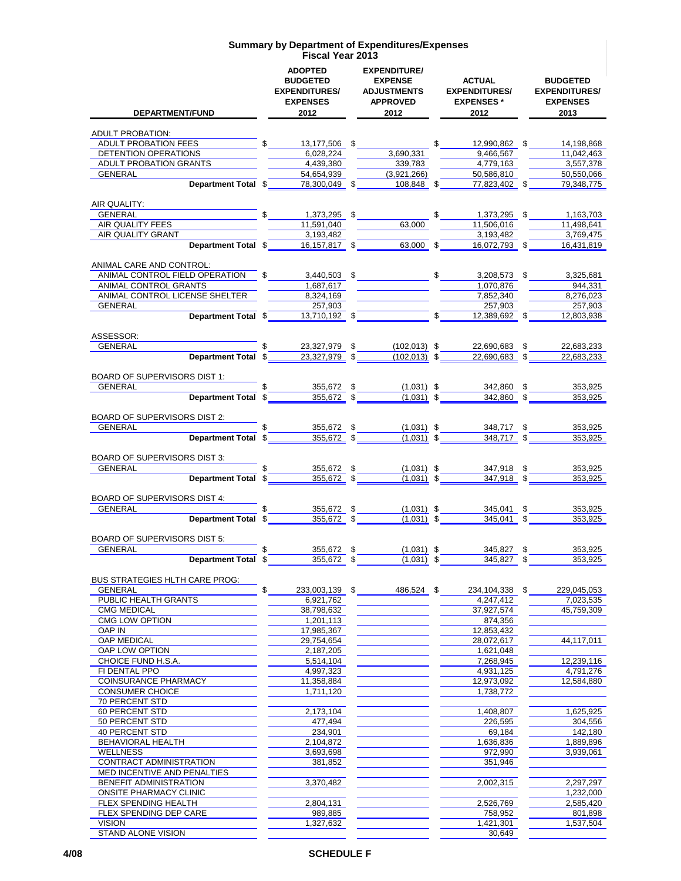| <b>DEPARTMENT/FUND</b>                                     | <b>ADOPTED</b><br><b>BUDGETED</b><br><b>EXPENDITURES/</b><br><b>EXPENSES</b><br>2012                                                               | <b>EXPENDITURE/</b><br><b>EXPENSE</b><br><b>ADJUSTMENTS</b><br><b>APPROVED</b><br>2012 |            | <b>ACTUAL</b><br><b>EXPENDITURES/</b><br><b>EXPENSES</b> *<br>2012 | <b>BUDGETED</b><br><b>EXPENDITURES/</b><br><b>EXPENSES</b><br>2013 |
|------------------------------------------------------------|----------------------------------------------------------------------------------------------------------------------------------------------------|----------------------------------------------------------------------------------------|------------|--------------------------------------------------------------------|--------------------------------------------------------------------|
|                                                            |                                                                                                                                                    |                                                                                        |            |                                                                    |                                                                    |
| <b>ADULT PROBATION:</b><br><b>ADULT PROBATION FEES</b>     | $\frac{1}{2}$<br>13,177,506 \$                                                                                                                     |                                                                                        | $^{\circ}$ | 12,990,862 \$                                                      | 14,198,868                                                         |
| DETENTION OPERATIONS                                       | 6,028,224                                                                                                                                          | 3,690,331                                                                              |            | 9,466,567                                                          | 11,042,463                                                         |
| ADULT PROBATION GRANTS                                     | 4,439,380                                                                                                                                          | 339,783                                                                                |            | 4,779,163                                                          | 3,557,378                                                          |
| <b>GENERAL</b>                                             | 54,654,939                                                                                                                                         | (3,921,266)                                                                            |            | 50,586,810                                                         | 50,550,066                                                         |
| Department Total \$                                        | 78,300,049 \$                                                                                                                                      | $108,848$ \$                                                                           |            | 77,823,402 \$                                                      | 79,348,775                                                         |
| AIR QUALITY:<br>GENERAL <b>Example 2014</b>                | 1,373,295 \$                                                                                                                                       |                                                                                        | \$         | 1,373,295 \$                                                       | 1,163,703                                                          |
| AIR QUALITY FEES                                           | 11,591,040                                                                                                                                         | 63,000                                                                                 |            | 11,506,016                                                         | 11,498,641                                                         |
| AIR QUALITY GRANT                                          | 3,193,482                                                                                                                                          |                                                                                        |            | 3,193,482                                                          | 3,769,475                                                          |
| Department Total \$                                        | $16,157,817$ \$                                                                                                                                    | $63,000$ \$                                                                            |            | 16,072,793 \$                                                      | 16,431,819                                                         |
| ANIMAL CARE AND CONTROL:<br>ANIMAL CONTROL FIELD OPERATION |                                                                                                                                                    | $3,440,503$ \$ \$                                                                      |            | $3,208,573$ \$                                                     | 3,325,681                                                          |
| ANIMAL CONTROL GRANTS                                      | 1,687,617                                                                                                                                          |                                                                                        |            | 1,070,876                                                          | 944,331                                                            |
| ANIMAL CONTROL LICENSE SHELTER                             | 8,324,169                                                                                                                                          |                                                                                        |            | 7,852,340                                                          | 8,276,023                                                          |
| GENERAL                                                    | 257,903                                                                                                                                            |                                                                                        |            | 257,903                                                            | 257,903                                                            |
| Department Total \$                                        | $13,710,192$ \$                                                                                                                                    |                                                                                        |            | $\int$<br>12,389,692 \$                                            | 12,803,938                                                         |
| ASSESSOR:<br>GENERAL                                       | 23,327,979 \$                                                                                                                                      |                                                                                        |            |                                                                    |                                                                    |
|                                                            | <b>Department Total <math>\frac{23,327,979}{23,327,979}</math> <math>\frac{102,013}{22,690,683}</math> <math>\frac{100,013}{22,690,683}</math></b> | $(102, 013)$ \$                                                                        |            | 22,690,683 \$                                                      | 22,683,233<br>22,683,233                                           |
|                                                            |                                                                                                                                                    |                                                                                        |            |                                                                    |                                                                    |
| BOARD OF SUPERVISORS DIST 1:<br>GENERAL                    | 355,672 $\frac{1}{2}$                                                                                                                              | $(1,031)$ \$                                                                           |            |                                                                    | 353,925                                                            |
| Department Total \$                                        | $355,672$ \$                                                                                                                                       | $(1,031)$ \$                                                                           |            | 342,860 \$<br>$342,860$ \$                                         | 353,925                                                            |
| BOARD OF SUPERVISORS DIST 2:                               |                                                                                                                                                    |                                                                                        |            |                                                                    |                                                                    |
| GENERAL                                                    | 355,672 \$                                                                                                                                         | $(1,031)$ \$                                                                           |            | 348,717 \$                                                         | 353,925                                                            |
| Department Total \$                                        | $355,672$ \$                                                                                                                                       | $(1,031)$ \$                                                                           |            | $348,717$ \$                                                       | 353,925                                                            |
| BOARD OF SUPERVISORS DIST 3:                               |                                                                                                                                                    |                                                                                        |            |                                                                    |                                                                    |
| GENERAL                                                    | $\frac{355,672}{355,672}$ \$                                                                                                                       | $(1,031)$ \$                                                                           |            | $\frac{347,918}{347,918}$ \$                                       | 353,925                                                            |
| Department Total \$                                        |                                                                                                                                                    | $(1,031)$ \$                                                                           |            |                                                                    | 353,925                                                            |
| BOARD OF SUPERVISORS DIST 4:                               |                                                                                                                                                    |                                                                                        |            |                                                                    |                                                                    |
| <b>GENERAL</b><br>Department Total \$                      | $\frac{355,672}{355,672}$ \$                                                                                                                       | $(1,031)$ \$<br>$(1,031)$ \$                                                           |            | $\frac{345,041}{345,041}$ \$                                       | 353,925<br>353,925                                                 |
| <b>BOARD OF SUPERVISORS DIST 5:</b>                        |                                                                                                                                                    |                                                                                        |            |                                                                    |                                                                    |
| <b>GENERAL</b>                                             | \$<br>355,672 \$                                                                                                                                   | $(1,031)$ \$                                                                           |            | 345,827 \$                                                         | 353,925                                                            |
| Department Total \$                                        | 355,672 \$                                                                                                                                         | $(1,031)$ \$                                                                           |            | 345,827 \$                                                         | 353,925                                                            |
| <b>BUS STRATEGIES HLTH CARE PROG:</b>                      |                                                                                                                                                    |                                                                                        |            |                                                                    |                                                                    |
| <b>GENERAL</b>                                             | \$<br>233,003,139 \$                                                                                                                               | 486.524 \$                                                                             |            | 234,104,338                                                        | \$<br>229,045,053                                                  |
| PUBLIC HEALTH GRANTS<br><b>CMG MEDICAL</b>                 | 6,921,762<br>38,798,632                                                                                                                            |                                                                                        |            | 4,247,412<br>37,927,574                                            | 7,023,535<br>45,759,309                                            |
| <b>CMG LOW OPTION</b>                                      | 1,201,113                                                                                                                                          |                                                                                        |            | 874,356                                                            |                                                                    |
| <b>OAP IN</b>                                              | 17,985,367                                                                                                                                         |                                                                                        |            | 12,853,432                                                         |                                                                    |
| <b>OAP MEDICAL</b>                                         | 29,754,654                                                                                                                                         |                                                                                        |            | 28,072,617                                                         | 44,117,011                                                         |
| OAP LOW OPTION                                             | 2,187,205                                                                                                                                          |                                                                                        |            | 1,621,048                                                          |                                                                    |
| CHOICE FUND H.S.A.                                         | 5,514,104                                                                                                                                          |                                                                                        |            | 7,268,945                                                          | 12,239,116<br>4.791.276                                            |
| FI DENTAL PPO<br><b>COINSURANCE PHARMACY</b>               | 4,997,323<br>11,358,884                                                                                                                            |                                                                                        |            | 4,931,125<br>12,973,092                                            | 12.584.880                                                         |
| <b>CONSUMER CHOICE</b>                                     | 1,711,120                                                                                                                                          |                                                                                        |            | 1,738,772                                                          |                                                                    |
| <b>70 PERCENT STD</b>                                      |                                                                                                                                                    |                                                                                        |            |                                                                    |                                                                    |
| <b>60 PERCENT STD</b>                                      | 2,173,104                                                                                                                                          |                                                                                        |            | 1,408,807                                                          | 1,625,925                                                          |
| 50 PERCENT STD                                             | 477,494                                                                                                                                            |                                                                                        |            | 226,595                                                            | 304,556                                                            |
| <b>40 PERCENT STD</b><br>BEHAVIORAL HEALTH                 | 234,901<br>2,104,872                                                                                                                               |                                                                                        |            | 69,184<br>1,636,836                                                | 142,180<br>1,889,896                                               |
| <b>WELLNESS</b>                                            | 3,693,698                                                                                                                                          |                                                                                        |            | 972,990                                                            | 3,939,061                                                          |
| <b>CONTRACT ADMINISTRATION</b>                             | 381,852                                                                                                                                            |                                                                                        |            | 351,946                                                            |                                                                    |
| MED INCENTIVE AND PENALTIES                                |                                                                                                                                                    |                                                                                        |            |                                                                    |                                                                    |
| BENEFIT ADMINISTRATION                                     | 3,370,482                                                                                                                                          |                                                                                        |            | 2,002,315                                                          | 2,297,297                                                          |
| <b>ONSITE PHARMACY CLINIC</b>                              |                                                                                                                                                    |                                                                                        |            |                                                                    | 1,232,000                                                          |
| FLEX SPENDING HEALTH<br>FLEX SPENDING DEP CARE             | 2,804,131<br>989,885                                                                                                                               |                                                                                        |            | 2,526,769<br>758,952                                               | 2,585,420<br>801,898                                               |
| <b>VISION</b>                                              | 1,327,632                                                                                                                                          |                                                                                        |            | 1,421,301                                                          | 1,537,504                                                          |
| STAND ALONE VISION                                         |                                                                                                                                                    |                                                                                        |            | 30,649                                                             |                                                                    |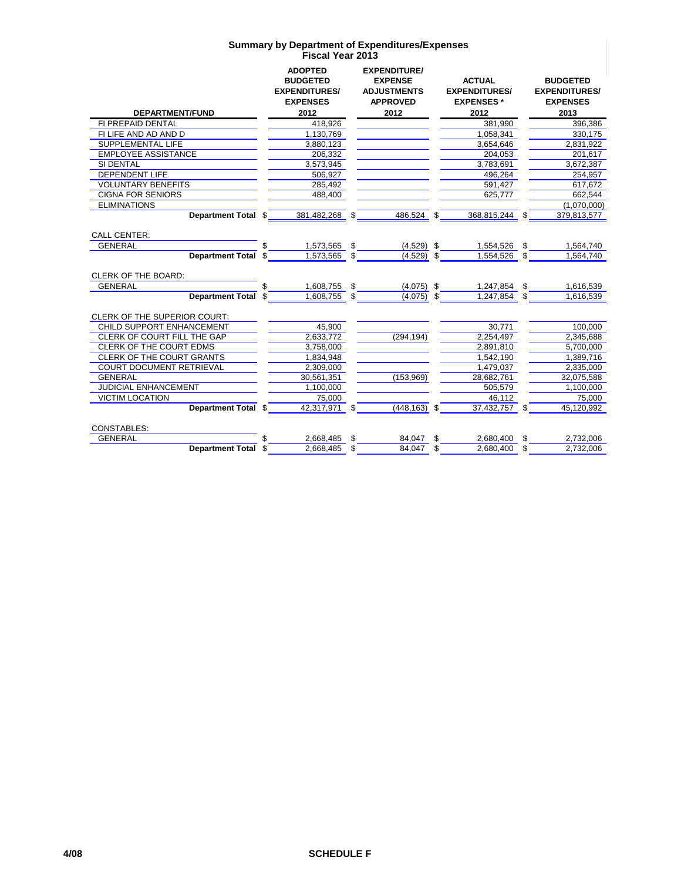|                              |     | <b>ADOPTED</b><br><b>BUDGETED</b><br><b>EXPENDITURES/</b><br><b>EXPENSES</b> |    | <b>EXPENDITURE/</b><br><b>EXPENSE</b><br><b>ADJUSTMENTS</b><br><b>APPROVED</b> | <b>ACTUAL</b><br><b>EXPENDITURES/</b><br><b>EXPENSES*</b> |     | <b>BUDGETED</b><br><b>EXPENDITURES/</b><br><b>EXPENSES</b> |
|------------------------------|-----|------------------------------------------------------------------------------|----|--------------------------------------------------------------------------------|-----------------------------------------------------------|-----|------------------------------------------------------------|
| <b>DEPARTMENT/FUND</b>       |     | 2012                                                                         |    | 2012                                                                           | 2012                                                      |     | 2013                                                       |
| FI PREPAID DENTAL            |     | 418,926                                                                      |    |                                                                                | 381.990                                                   |     | 396.386                                                    |
| FI LIFE AND AD AND D         |     | 1,130,769                                                                    |    |                                                                                | 1,058,341                                                 |     | 330,175                                                    |
| <b>SUPPLEMENTAL LIFE</b>     |     | 3,880,123                                                                    |    |                                                                                | 3,654,646                                                 |     | 2,831,922                                                  |
| <b>EMPLOYEE ASSISTANCE</b>   |     | 206.332                                                                      |    |                                                                                | 204.053                                                   |     | 201,617                                                    |
| SI DENTAL                    |     | 3,573,945                                                                    |    |                                                                                | 3,783,691                                                 |     | 3,672,387                                                  |
| <b>DEPENDENT LIFE</b>        |     | 506.927                                                                      |    |                                                                                | 496.264                                                   |     | 254.957                                                    |
| <b>VOLUNTARY BENEFITS</b>    |     | 285,492                                                                      |    |                                                                                | 591,427                                                   |     | 617.672                                                    |
| <b>CIGNA FOR SENIORS</b>     |     | 488,400                                                                      |    |                                                                                | 625.777                                                   |     | 662,544                                                    |
| <b>ELIMINATIONS</b>          |     |                                                                              |    |                                                                                |                                                           |     | (1,070,000)                                                |
| Department Total \$          |     | 381.482.268                                                                  | \$ | 486.524                                                                        | \$<br>368,815,244                                         | \$. | 379,813,577                                                |
| <b>CALL CENTER:</b>          |     |                                                                              |    |                                                                                |                                                           |     |                                                            |
| <b>GENERAL</b>               |     |                                                                              |    |                                                                                |                                                           | \$  |                                                            |
| <b>Department Total</b>      | \$. | 1,573,565                                                                    | \$ | $(4,529)$ \$                                                                   | 1,554,526                                                 | \$  | 1,564,740                                                  |
|                              |     | 1,573,565                                                                    | \$ | $(4,529)$ \$                                                                   | 1,554,526                                                 |     | 1,564,740                                                  |
| <b>CLERK OF THE BOARD:</b>   |     |                                                                              |    |                                                                                |                                                           |     |                                                            |
| <b>GENERAL</b>               |     | 1,608,755                                                                    | \$ | $(4,075)$ \$                                                                   | 1,247,854                                                 | \$  | 1,616,539                                                  |
| <b>Department Total</b>      | S   | 1.608.755                                                                    | \$ | $(4,075)$ \$                                                                   | 1.247.854                                                 | \$  | 1,616,539                                                  |
|                              |     |                                                                              |    |                                                                                |                                                           |     |                                                            |
| CLERK OF THE SUPERIOR COURT: |     |                                                                              |    |                                                                                |                                                           |     |                                                            |
| CHILD SUPPORT ENHANCEMENT    |     | 45,900                                                                       |    |                                                                                | 30.771                                                    |     | 100,000                                                    |
| CLERK OF COURT FILL THE GAP  |     | 2,633,772                                                                    |    | (294, 194)                                                                     | 2,254,497                                                 |     | 2,345,688                                                  |
| CLERK OF THE COURT EDMS      |     | 3,758,000                                                                    |    |                                                                                | 2,891,810                                                 |     | 5,700,000                                                  |
| CLERK OF THE COURT GRANTS    |     | 1,834,948                                                                    |    |                                                                                | 1,542,190                                                 |     | 1,389,716                                                  |
| COURT DOCUMENT RETRIEVAL     |     | 2,309,000                                                                    |    |                                                                                | 1,479,037                                                 |     | 2,335,000                                                  |
| <b>GENERAL</b>               |     | 30,561,351                                                                   |    | (153,969)                                                                      | 28,682,761                                                |     | 32,075,588                                                 |
| <b>JUDICIAL ENHANCEMENT</b>  |     | 1,100,000                                                                    |    |                                                                                | 505,579                                                   |     | 1,100,000                                                  |
| <b>VICTIM LOCATION</b>       |     | 75,000                                                                       |    |                                                                                | 46.112                                                    |     | 75.000                                                     |
| Department Total \$          |     | 42,317,971                                                                   | \$ | $(448, 163)$ \$                                                                | 37,432,757                                                |     | 45.120.992                                                 |
| <b>CONSTABLES:</b>           |     |                                                                              |    |                                                                                |                                                           |     |                                                            |
| <b>GENERAL</b>               |     | 2,668,485                                                                    | S  | 84.047                                                                         | \$<br>2,680,400                                           | \$  | 2,732,006                                                  |
| Department Total \$          |     | 2,668,485                                                                    | \$ | 84,047                                                                         | \$<br>2,680,400                                           | \$  | 2,732,006                                                  |
|                              |     |                                                                              |    |                                                                                |                                                           |     |                                                            |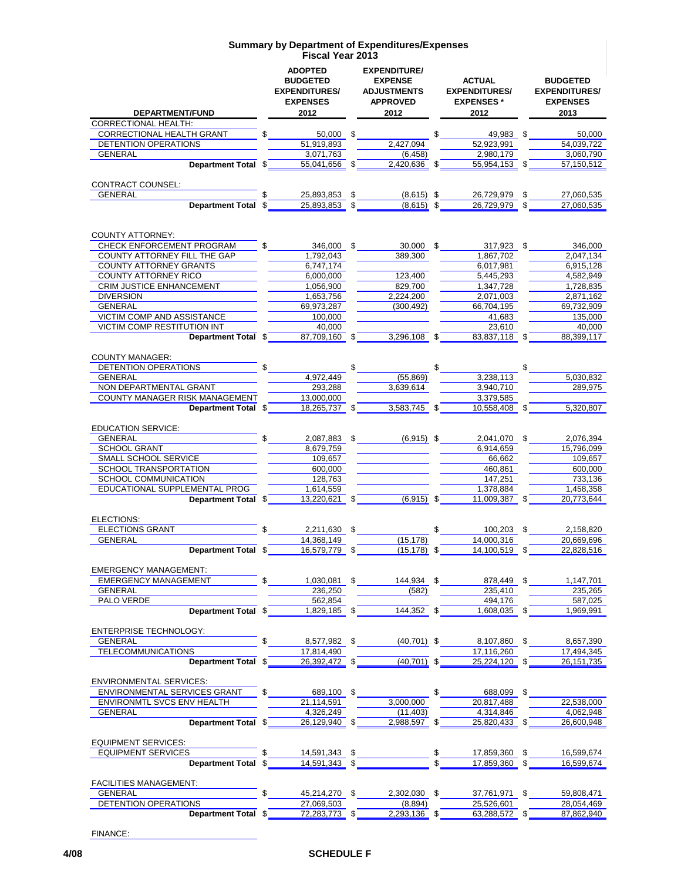|                                                          |      | <b>ADOPTED</b><br><b>BUDGETED</b><br><b>EXPENDITURES/</b><br><b>EXPENSES</b><br>2012 |     | <b>EXPENDITURE/</b><br><b>EXPENSE</b><br><b>ADJUSTMENTS</b><br><b>APPROVED</b><br>2012 |     | <b>ACTUAL</b><br><b>EXPENDITURES/</b><br><b>EXPENSES*</b> |      | <b>BUDGETED</b><br><b>EXPENDITURES/</b><br><b>EXPENSES</b> |
|----------------------------------------------------------|------|--------------------------------------------------------------------------------------|-----|----------------------------------------------------------------------------------------|-----|-----------------------------------------------------------|------|------------------------------------------------------------|
| <b>DEPARTMENT/FUND</b><br><b>CORRECTIONAL HEALTH:</b>    |      |                                                                                      |     |                                                                                        |     | 2012                                                      |      | 2013                                                       |
| CORRECTIONAL HEALTH GRANT                                |      | 50,000 \$                                                                            |     |                                                                                        | \$  | 49,983 \$                                                 |      | 50,000                                                     |
| <b>DETENTION OPERATIONS</b>                              |      | 51.919.893                                                                           |     | 2,427,094                                                                              |     | 52,923,991                                                |      | 54,039,722                                                 |
| <b>GENERAL</b>                                           |      | 3,071,763                                                                            |     | (6, 458)                                                                               |     | 2,980,179                                                 |      | 3,060,790                                                  |
| Department Total \$                                      |      | 55,041,656                                                                           | \$  | 2,420,636                                                                              | \$  | 55,954,153                                                | - \$ | 57,150,512                                                 |
|                                                          |      |                                                                                      |     |                                                                                        |     |                                                           |      |                                                            |
| <b>CONTRACT COUNSEL:</b><br><b>GENERAL</b>               |      | 25,893,853                                                                           | \$  | $(8,615)$ \$                                                                           |     | 26,729,979                                                | \$   | 27.060.535                                                 |
| Department Total \$                                      |      | 25.893.853                                                                           | \$  | $(8.615)$ \$                                                                           |     | 26,729,979                                                |      | 27,060,535                                                 |
|                                                          |      |                                                                                      |     |                                                                                        |     |                                                           |      |                                                            |
| <b>COUNTY ATTORNEY:</b>                                  |      |                                                                                      |     |                                                                                        |     |                                                           |      |                                                            |
| CHECK ENFORCEMENT PROGRAM                                | \$   | 346,000 \$                                                                           |     | 30,000 \$                                                                              |     | 317,923 \$                                                |      | 346,000                                                    |
| COUNTY ATTORNEY FILL THE GAP<br>COUNTY ATTORNEY GRANTS   |      | 1,792,043<br>6,747,174                                                               |     | 389,300                                                                                |     | 1,867,702                                                 |      | 2,047,134                                                  |
| COUNTY ATTORNEY RICO                                     |      | 6,000,000                                                                            |     | 123,400                                                                                |     | 6,017,981<br>5,445,293                                    |      | 6,915,128<br>4,582,949                                     |
| <b>CRIM JUSTICE ENHANCEMENT</b>                          |      | 1,056,900                                                                            |     | 829,700                                                                                |     | 1.347.728                                                 |      | 1,728,835                                                  |
| <b>DIVERSION</b>                                         |      | 1,653,756                                                                            |     | 2,224,200                                                                              |     | 2,071,003                                                 |      | 2,871,162                                                  |
| <b>GENERAL</b>                                           |      | 69,973,287                                                                           |     | (300, 492)                                                                             |     | 66.704.195                                                |      | 69,732,909                                                 |
| <b>VICTIM COMP AND ASSISTANCE</b>                        |      | 100,000                                                                              |     |                                                                                        |     | 41,683                                                    |      | 135,000                                                    |
| <b>VICTIM COMP RESTITUTION INT</b>                       |      | 40,000                                                                               |     |                                                                                        |     | 23.610                                                    |      | 40,000                                                     |
| Department Total \$                                      |      | 87,709,160                                                                           | \$  | 3,296,108                                                                              | \$  | 83.837.118                                                | -\$  | 88,399,117                                                 |
| <b>COUNTY MANAGER:</b>                                   |      |                                                                                      |     |                                                                                        |     |                                                           |      |                                                            |
| DETENTION OPERATIONS                                     |      |                                                                                      | \$  |                                                                                        | \$  |                                                           | \$   |                                                            |
| <b>GENERAL</b>                                           |      | 4,972,449                                                                            |     | (55.869)                                                                               |     | 3,238,113                                                 |      | 5.030.832                                                  |
| NON DEPARTMENTAL GRANT<br>COUNTY MANAGER RISK MANAGEMENT |      | 293,288<br>13,000,000                                                                |     | 3,639,614                                                                              |     | 3,940,710<br>3,379,585                                    |      | 289,975                                                    |
| Department Total \$                                      |      | 18,265,737                                                                           | \$  | 3,583,745                                                                              | \$  | 10,558,408                                                |      | 5,320,807                                                  |
|                                                          |      |                                                                                      |     |                                                                                        |     |                                                           |      |                                                            |
| <b>EDUCATION SERVICE:</b>                                |      |                                                                                      |     |                                                                                        |     |                                                           |      |                                                            |
| <b>GENERAL</b>                                           |      | 2,087,883 \$                                                                         |     | $(6,915)$ \$                                                                           |     | 2,041,070 \$                                              |      | 2,076,394                                                  |
| <b>SCHOOL GRANT</b>                                      |      | 8,679,759                                                                            |     |                                                                                        |     | 6,914,659                                                 |      | 15,796,099                                                 |
| SMALL SCHOOL SERVICE                                     |      | 109,657                                                                              |     |                                                                                        |     | 66,662                                                    |      | 109,657                                                    |
| SCHOOL TRANSPORTATION<br>SCHOOL COMMUNICATION            |      | 600,000<br>128,763                                                                   |     |                                                                                        |     | 460,861<br>147,251                                        |      | 600,000<br>733,136                                         |
| EDUCATIONAL SUPPLEMENTAL PROG                            |      | 1,614,559                                                                            |     |                                                                                        |     | 1,378,884                                                 |      | 1,458,358                                                  |
| Department Total \$                                      |      | 13,220,621                                                                           | \$. | $(6,915)$ \$                                                                           |     | 11,009,387 \$                                             |      | 20,773,644                                                 |
|                                                          |      |                                                                                      |     |                                                                                        |     |                                                           |      |                                                            |
| ELECTIONS:                                               |      |                                                                                      |     |                                                                                        |     |                                                           |      |                                                            |
| <b>ELECTIONS GRANT</b><br><b>GENERAL</b>                 |      | 2,211,630<br>14,368,149                                                              | \$  | (15, 178)                                                                              | \$  | 100,203<br>14,000,316                                     | \$   | 2,158,820<br>20,669,696                                    |
| <b>Department Total</b>                                  | - \$ | 16,579,779 \$                                                                        |     | (15, 178)                                                                              | \$  | 14,100,519                                                | \$   | 22,828,516                                                 |
| <b>EMERGENCY MANAGEMENT:</b>                             |      |                                                                                      |     |                                                                                        |     |                                                           |      |                                                            |
| <b>EMERGENCY MANAGEMENT</b>                              | \$   | 1,030,081 \$                                                                         |     | 144,934 \$                                                                             |     | 878,449 \$                                                |      | 1,147,701                                                  |
| <b>GENERAL</b>                                           |      | 236,250                                                                              |     | (582)                                                                                  |     | 235,410                                                   |      | 235,265                                                    |
| PALO VERDE                                               |      | 562,854                                                                              |     |                                                                                        |     | 494,176                                                   |      | 587,025                                                    |
| <b>Department Total</b>                                  | \$   | 1,829,185 \$                                                                         |     | 144,352 \$                                                                             |     | 1,608,035                                                 | - \$ | 1,969,991                                                  |
| <b>ENTERPRISE TECHNOLOGY:</b>                            |      |                                                                                      |     |                                                                                        |     |                                                           |      |                                                            |
| <b>GENERAL</b>                                           |      | 8,577,982 \$                                                                         |     | $(40, 701)$ \$                                                                         |     | 8,107,860 \$                                              |      | 8,657,390                                                  |
| <b>TELECOMMUNICATIONS</b>                                |      | 17,814,490                                                                           |     |                                                                                        |     | 17,116,260                                                |      | 17,494,345                                                 |
| Department Total \$                                      |      | 26,392,472 \$                                                                        |     | $(40, 701)$ \$                                                                         |     | 25,224,120 \$                                             |      | 26, 151, 735                                               |
| <b>ENVIRONMENTAL SERVICES:</b>                           |      |                                                                                      |     |                                                                                        |     |                                                           |      |                                                            |
| <b>ENVIRONMENTAL SERVICES GRANT</b>                      | \$   | 689,100 \$                                                                           |     |                                                                                        | \$  | 688,099 \$                                                |      |                                                            |
| ENVIRONMTL SVCS ENV HEALTH                               |      | 21,114,591                                                                           |     | 3,000,000                                                                              |     | 20,817,488                                                |      | 22.538.000                                                 |
| <b>GENERAL</b>                                           |      | 4,326,249                                                                            |     | (11, 403)                                                                              |     | 4,314,846                                                 |      | 4,062,948                                                  |
| Department Total \$                                      |      | 26,129,940 \$                                                                        |     | 2,988,597                                                                              | \$  | 25,820,433 \$                                             |      | 26,600,948                                                 |
| <b>EQUIPMENT SERVICES:</b>                               |      |                                                                                      |     |                                                                                        |     |                                                           |      |                                                            |
| <b>EQUIPMENT SERVICES</b>                                |      | 14,591,343 \$                                                                        |     |                                                                                        | \$  | 17,859,360 \$                                             |      | 16,599,674                                                 |
| <b>Department Total</b>                                  | \$   | $14,591,343$ \$                                                                      |     |                                                                                        | \$  | 17,859,360 \$                                             |      | 16,599,674                                                 |
| <b>FACILITIES MANAGEMENT:</b>                            |      |                                                                                      |     |                                                                                        |     |                                                           |      |                                                            |
| <b>GENERAL</b>                                           | \$   | 45,214,270 \$                                                                        |     | 2,302,030                                                                              | \$  | 37,761,971 \$                                             |      | 59,808,471                                                 |
| DETENTION OPERATIONS                                     |      | 27,069,503                                                                           |     | (8,894)                                                                                |     | 25,526,601                                                |      | 28,054,469                                                 |
| Department Total \$                                      |      | 72,283,773 \$                                                                        |     | 2,293,136                                                                              | \$. | 63,288,572 \$                                             |      | 87,862,940                                                 |
|                                                          |      |                                                                                      |     |                                                                                        |     |                                                           |      |                                                            |

FINANCE: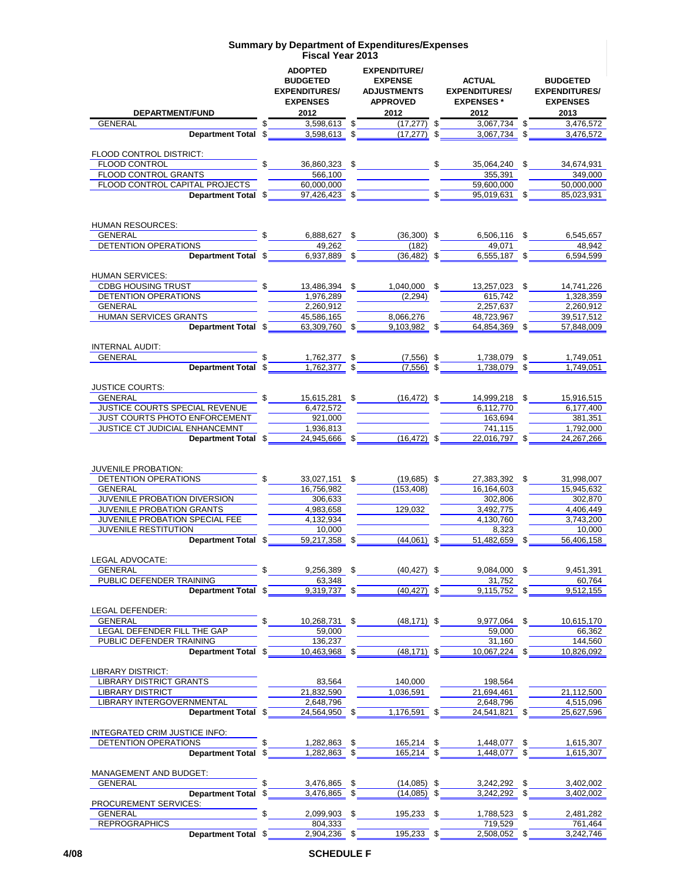| DEPARTMENT/FUND                                 | <b>ADOPTED</b><br><b>BUDGETED</b><br><b>EXPENDITURES/</b><br><b>EXPENSES</b><br>2012 | <b>EXPENDITURE/</b><br><b>EXPENSE</b><br><b>ADJUSTMENTS</b><br><b>APPROVED</b><br>2012 | <b>ACTUAL</b><br><b>EXPENDITURES/</b><br><b>EXPENSES*</b><br>2012 |    | <b>BUDGETED</b><br><b>EXPENDITURES/</b><br><b>EXPENSES</b><br>2013 |  |
|-------------------------------------------------|--------------------------------------------------------------------------------------|----------------------------------------------------------------------------------------|-------------------------------------------------------------------|----|--------------------------------------------------------------------|--|
| GENERAL                                         | 3,598,613                                                                            | \$<br>(17.277)                                                                         | \$<br>3,067,734                                                   | \$ | 3,476,572                                                          |  |
| Department Total \$                             | 3,598,613                                                                            | \$<br>(17, 277)                                                                        | \$<br>3.067.734 \$                                                |    | 3,476,572                                                          |  |
|                                                 |                                                                                      |                                                                                        |                                                                   |    |                                                                    |  |
| FLOOD CONTROL DISTRICT:<br>FLOOD CONTROL        | \$<br>36,860,323 \$                                                                  |                                                                                        | \$<br>35,064,240 \$                                               |    | 34,674,931                                                         |  |
| FLOOD CONTROL GRANTS                            | 566,100                                                                              |                                                                                        | 355,391                                                           |    | 349,000                                                            |  |
| FLOOD CONTROL CAPITAL PROJECTS                  | 60,000,000                                                                           |                                                                                        | 59,600,000                                                        |    | 50,000,000                                                         |  |
| Department Total \$                             | 97,426,423 \$                                                                        |                                                                                        | 95,019,631 \$                                                     |    | 85,023,931                                                         |  |
|                                                 |                                                                                      |                                                                                        |                                                                   |    |                                                                    |  |
|                                                 |                                                                                      |                                                                                        |                                                                   |    |                                                                    |  |
| HUMAN RESOURCES:                                |                                                                                      |                                                                                        |                                                                   |    |                                                                    |  |
| <b>GENERAL</b><br>DETENTION OPERATIONS          | 6,888,627 \$<br>49,262                                                               | $(36,300)$ \$<br>(182)                                                                 | 6,506,116 \$<br>49,071                                            |    | 6,545,657<br>48,942                                                |  |
| Department Total \$                             | 6,937,889 \$                                                                         | $(36, 482)$ \$                                                                         | 6,555,187 \$                                                      |    | 6,594,599                                                          |  |
|                                                 |                                                                                      |                                                                                        |                                                                   |    |                                                                    |  |
| <b>HUMAN SERVICES:</b>                          |                                                                                      |                                                                                        |                                                                   |    |                                                                    |  |
| <b>CDBG HOUSING TRUST</b>                       | 13,486,394 \$                                                                        | 1,040,000 \$                                                                           | 13.257.023 \$                                                     |    | 14,741,226                                                         |  |
| <b>DETENTION OPERATIONS</b>                     | 1,976,289                                                                            | (2, 294)                                                                               | 615,742                                                           |    | 1,328,359                                                          |  |
| <b>GENERAL</b>                                  | 2,260,912                                                                            |                                                                                        | 2,257,637                                                         |    | 2,260,912                                                          |  |
| HUMAN SERVICES GRANTS                           | 45.586.165                                                                           | 8,066,276                                                                              | 48,723,967                                                        |    | 39,517,512                                                         |  |
| Department Total \$                             | 63,309,760                                                                           | \$<br>9,103,982 \$                                                                     | 64,854,369 \$                                                     |    | 57,848,009                                                         |  |
| INTERNAL AUDIT:                                 |                                                                                      |                                                                                        |                                                                   |    |                                                                    |  |
| GENERAL                                         | \$<br>1,762,377                                                                      | \$<br>$(7,556)$ \$                                                                     | 1,738,079                                                         | \$ | 1,749,051                                                          |  |
| Department Total \$                             | 1,762,377                                                                            | \$<br>$(7,556)$ \$                                                                     | 1,738,079 \$                                                      |    | 1.749.051                                                          |  |
|                                                 |                                                                                      |                                                                                        |                                                                   |    |                                                                    |  |
| <b>JUSTICE COURTS:</b>                          |                                                                                      |                                                                                        |                                                                   |    |                                                                    |  |
| <b>GENERAL</b>                                  | 15,615,281 \$                                                                        | $(16, 472)$ \$                                                                         | 14,999,218 \$                                                     |    | 15,916,515                                                         |  |
| JUSTICE COURTS SPECIAL REVENUE                  | 6,472,572                                                                            |                                                                                        | 6,112,770                                                         |    | 6,177,400                                                          |  |
| JUST COURTS PHOTO ENFORCEMENT                   | 921,000                                                                              |                                                                                        | 163,694                                                           |    | 381,351                                                            |  |
| JUSTICE CT JUDICIAL ENHANCEMNT                  | 1,936,813                                                                            |                                                                                        | 741,115                                                           |    | 1,792,000                                                          |  |
| Department Total \$                             | 24,945,666 \$                                                                        | $(16, 472)$ \$                                                                         | 22,016,797 \$                                                     |    | 24,267,266                                                         |  |
|                                                 |                                                                                      |                                                                                        |                                                                   |    |                                                                    |  |
| <b>JUVENILE PROBATION:</b>                      |                                                                                      |                                                                                        |                                                                   |    |                                                                    |  |
| DETENTION OPERATIONS                            | \$<br>33,027,151                                                                     | \$<br>$(19,685)$ \$                                                                    | 27,383,392 \$                                                     |    | 31,998,007                                                         |  |
| GENERAL                                         | 16,756,982                                                                           | (153, 408)                                                                             | 16,164,603                                                        |    | 15,945,632                                                         |  |
| JUVENILE PROBATION DIVERSION                    | 306.633                                                                              |                                                                                        | 302,806                                                           |    | 302,870                                                            |  |
| JUVENILE PROBATION GRANTS                       | 4,983,658                                                                            | 129,032                                                                                | 3,492,775                                                         |    | 4,406,449                                                          |  |
| JUVENILE PROBATION SPECIAL FEE                  | 4.132.934                                                                            |                                                                                        | 4,130,760                                                         |    | 3,743,200                                                          |  |
| <b>JUVENILE RESTITUTION</b>                     | 10,000                                                                               |                                                                                        | 8.323                                                             |    | 10,000                                                             |  |
| Department Total \$                             | 59,217,358 \$                                                                        | $(44,061)$ \$                                                                          | 51,482,659                                                        |    | 56,406,158                                                         |  |
| LEGAL ADVOCATE:                                 |                                                                                      |                                                                                        |                                                                   |    |                                                                    |  |
| GENERAL                                         | \$<br>9,256,389                                                                      | \$<br>$(40, 427)$ \$                                                                   | 9,084,000 \$                                                      |    | 9,451,391                                                          |  |
| PUBLIC DEFENDER TRAINING                        | 63,348                                                                               |                                                                                        | 31,752                                                            |    | 60,764                                                             |  |
| <b>Department Total</b>                         | 9,319,737<br>\$                                                                      | \$<br>$(40, 427)$ \$                                                                   | 9,115,752                                                         |    | 9,512,155                                                          |  |
|                                                 |                                                                                      |                                                                                        |                                                                   |    |                                                                    |  |
| LEGAL DEFENDER:                                 |                                                                                      |                                                                                        |                                                                   |    |                                                                    |  |
| <b>GENERAL</b>                                  | \$<br>10,268,731 \$                                                                  | $(48, 171)$ \$                                                                         | 9,977,064 \$                                                      |    | 10,615,170                                                         |  |
| LEGAL DEFENDER FILL THE GAP                     | 59,000                                                                               |                                                                                        | 59,000                                                            |    | 66,362                                                             |  |
| PUBLIC DEFENDER TRAINING                        | 136,237                                                                              |                                                                                        | 31,160                                                            |    | 144,560                                                            |  |
| Department Total \$                             | 10,463,968 \$                                                                        | $(48, 171)$ \$                                                                         | 10,067,224 \$                                                     |    | 10,826,092                                                         |  |
| LIBRARY DISTRICT:                               |                                                                                      |                                                                                        |                                                                   |    |                                                                    |  |
| <b>LIBRARY DISTRICT GRANTS</b>                  | 83,564                                                                               | 140,000                                                                                | 198,564                                                           |    |                                                                    |  |
| <b>LIBRARY DISTRICT</b>                         | 21,832,590                                                                           | 1,036,591                                                                              | 21,694,461                                                        |    | 21,112,500                                                         |  |
| LIBRARY INTERGOVERNMENTAL                       | 2,648,796                                                                            |                                                                                        | 2,648,796                                                         |    | 4,515,096                                                          |  |
| Department Total \$                             | 24,564,950 \$                                                                        | 1,176,591 \$                                                                           | 24,541,821 \$                                                     |    | 25,627,596                                                         |  |
|                                                 |                                                                                      |                                                                                        |                                                                   |    |                                                                    |  |
| INTEGRATED CRIM JUSTICE INFO:                   |                                                                                      |                                                                                        |                                                                   |    |                                                                    |  |
| <b>DETENTION OPERATIONS</b>                     | 1,282,863<br>\$                                                                      | \$<br>165,214 \$                                                                       | 1,448,077                                                         | S  | 1,615,307                                                          |  |
| <b>Department Total</b>                         | 1,282,863<br>\$                                                                      | \$<br>165,214 \$                                                                       | 1,448,077                                                         |    | 1,615,307                                                          |  |
|                                                 |                                                                                      |                                                                                        |                                                                   |    |                                                                    |  |
| <b>MANAGEMENT AND BUDGET:</b><br><b>GENERAL</b> | \$<br>3,476,865                                                                      | \$<br>$(14,085)$ \$                                                                    | 3,242,292                                                         | \$ | 3,402,002                                                          |  |
| <b>Department Total</b>                         | 3,476,865<br>\$                                                                      | \$<br>$(14,085)$ \$                                                                    | 3,242,292                                                         |    | 3,402,002                                                          |  |
| PROCUREMENT SERVICES:                           |                                                                                      |                                                                                        |                                                                   |    |                                                                    |  |
| GENERAL                                         | \$<br>2,099,903 \$                                                                   | 195,233 \$                                                                             | 1,788,523 \$                                                      |    | 2,481,282                                                          |  |
| <b>REPROGRAPHICS</b>                            | 804,333                                                                              |                                                                                        | 719,529                                                           |    | 761,464                                                            |  |
| Department Total \$                             | 2,904,236 \$                                                                         | 195,233 \$                                                                             | 2,508,052 \$                                                      |    | 3,242,746                                                          |  |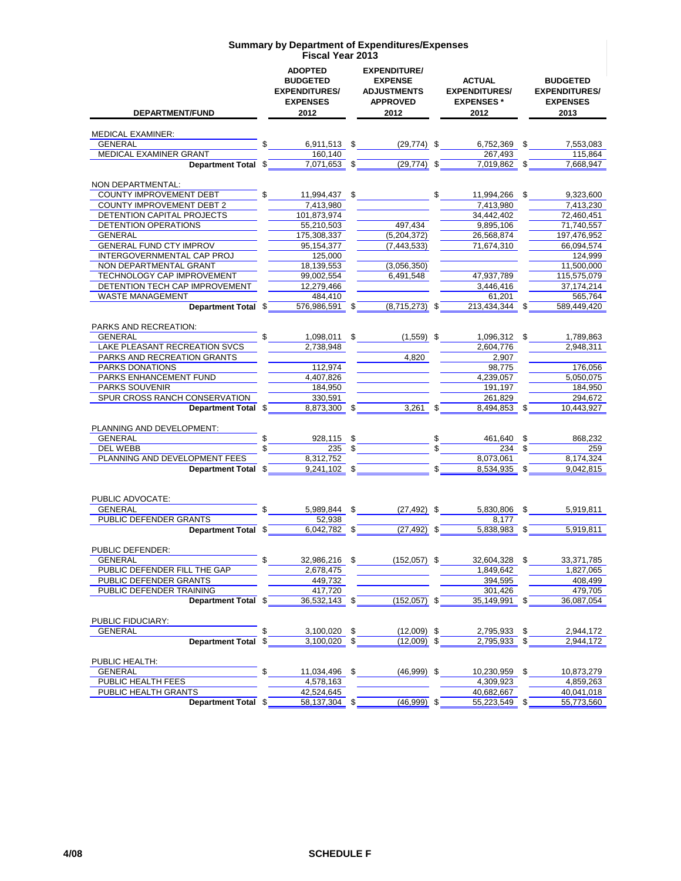|                                                      | <b>ADOPTED</b><br><b>BUDGETED</b><br><b>EXPENDITURES/</b><br><b>EXPENSES</b> |               | <b>EXPENDITURE/</b><br><b>EXPENSE</b><br><b>ADJUSTMENTS</b><br><b>APPROVED</b> | <b>ACTUAL</b><br><b>EXPENDITURES/</b><br><b>EXPENSES*</b> |    | <b>BUDGETED</b><br><b>EXPENDITURES/</b><br><b>EXPENSES</b> |
|------------------------------------------------------|------------------------------------------------------------------------------|---------------|--------------------------------------------------------------------------------|-----------------------------------------------------------|----|------------------------------------------------------------|
| DEPARTMENT/FUND                                      | 2012                                                                         |               | 2012                                                                           | 2012                                                      |    | 2013                                                       |
|                                                      |                                                                              |               |                                                                                |                                                           |    |                                                            |
| <b>MEDICAL EXAMINER:</b>                             |                                                                              |               |                                                                                |                                                           |    |                                                            |
| <b>GENERAL</b><br>MEDICAL EXAMINER GRANT             | \$<br>6,911,513 \$<br>160,140                                                |               | $(29,774)$ \$                                                                  | 6.752.369 \$<br>267,493                                   |    | 7,553,083<br>115,864                                       |
| Department Total \$                                  | 7,071,653 \$                                                                 |               | $(29, 774)$ \$                                                                 | 7,019,862                                                 |    | 7,668,947                                                  |
|                                                      |                                                                              |               |                                                                                |                                                           |    |                                                            |
| NON DEPARTMENTAL:                                    |                                                                              |               |                                                                                |                                                           |    |                                                            |
| <b>COUNTY IMPROVEMENT DEBT</b>                       | 11,994,437 \$                                                                |               |                                                                                | \$<br>11,994,266                                          | S  | 9,323,600                                                  |
| <b>COUNTY IMPROVEMENT DEBT 2</b>                     | 7,413,980                                                                    |               |                                                                                | 7,413,980                                                 |    | 7.413.230                                                  |
| DETENTION CAPITAL PROJECTS                           | 101.873.974                                                                  |               |                                                                                | 34,442,402                                                |    | 72,460,451                                                 |
| <b>DETENTION OPERATIONS</b>                          | 55,210,503                                                                   |               | 497,434                                                                        | 9,895,106                                                 |    | 71,740,557                                                 |
| <b>GENERAL</b>                                       | 175,308,337                                                                  |               | (5,204,372)                                                                    | 26,568,874                                                |    | 197,476,952                                                |
| <b>GENERAL FUND CTY IMPROV</b>                       | 95,154,377                                                                   |               | (7, 443, 533)                                                                  | 71,674,310                                                |    | 66,094,574                                                 |
| INTERGOVERNMENTAL CAP PROJ                           | 125,000<br>18,139,553                                                        |               |                                                                                |                                                           |    | 124,999                                                    |
| NON DEPARTMENTAL GRANT<br>TECHNOLOGY CAP IMPROVEMENT | 99,002,554                                                                   |               | (3,056,350)<br>6,491,548                                                       | 47,937,789                                                |    | 11,500,000<br>115,575,079                                  |
| DETENTION TECH CAP IMPROVEMENT                       | 12,279,466                                                                   |               |                                                                                | 3.446.416                                                 |    | 37, 174, 214                                               |
| <b>WASTE MANAGEMENT</b>                              | 484,410                                                                      |               |                                                                                | 61,201                                                    |    | 565,764                                                    |
| Department Total \$                                  | 576,986,591 \$                                                               |               | $(8,715,273)$ \$                                                               | 213,434,344 \$                                            |    | 589,449,420                                                |
|                                                      |                                                                              |               |                                                                                |                                                           |    |                                                            |
| PARKS AND RECREATION:                                |                                                                              |               |                                                                                |                                                           |    |                                                            |
| <b>GENERAL</b>                                       | 1,098,011 \$                                                                 |               | $(1,559)$ \$                                                                   | 1,096,312 \$                                              |    | 1,789,863                                                  |
| LAKE PLEASANT RECREATION SVCS                        | 2,738,948                                                                    |               |                                                                                | 2,604,776                                                 |    | 2,948,311                                                  |
| PARKS AND RECREATION GRANTS                          |                                                                              |               | 4,820                                                                          | 2,907                                                     |    |                                                            |
| PARKS DONATIONS                                      | 112,974                                                                      |               |                                                                                | 98.775                                                    |    | 176,056                                                    |
| PARKS ENHANCEMENT FUND<br><b>PARKS SOUVENIR</b>      | 4,407,826                                                                    |               |                                                                                | 4,239,057                                                 |    | 5,050,075                                                  |
| SPUR CROSS RANCH CONSERVATION                        | 184,950<br>330,591                                                           |               |                                                                                | 191,197                                                   |    | 184,950<br>294,672                                         |
| Department Total \$                                  | 8,873,300 \$                                                                 |               | 3,261                                                                          | \$<br>261,829<br>8,494,853 \$                             |    | 10,443,927                                                 |
|                                                      |                                                                              |               |                                                                                |                                                           |    |                                                            |
| PLANNING AND DEVELOPMENT:                            |                                                                              |               |                                                                                |                                                           |    |                                                            |
| <b>GENERAL</b>                                       | 928,115 \$                                                                   |               |                                                                                | \$<br>461,640                                             | \$ | 868,232                                                    |
| DEL WEBB                                             | 235                                                                          | \$            |                                                                                | 234                                                       |    | 259                                                        |
| PLANNING AND DEVELOPMENT FEES                        | 8,312,752                                                                    |               |                                                                                | 8,073,061                                                 |    | 8,174,324                                                  |
| <b>Department Total</b>                              | \$<br>$9,241,102$ \$                                                         |               |                                                                                | \$<br>8,534,935                                           | \$ | 9,042,815                                                  |
|                                                      |                                                                              |               |                                                                                |                                                           |    |                                                            |
| PUBLIC ADVOCATE:                                     |                                                                              |               |                                                                                |                                                           |    |                                                            |
| <b>GENERAL</b>                                       | \$<br>5,989,844 \$                                                           |               | $(27, 492)$ \$                                                                 | 5,830,806                                                 | \$ | 5,919,811                                                  |
| PUBLIC DEFENDER GRANTS                               | 52,938                                                                       |               |                                                                                | 8,177                                                     |    |                                                            |
| Department Total \$                                  | 6.042.782 \$                                                                 |               | $(27, 492)$ \$                                                                 | 5,838,983                                                 | \$ | 5,919,811                                                  |
|                                                      |                                                                              |               |                                                                                |                                                           |    |                                                            |
| PUBLIC DEFENDER:                                     |                                                                              |               |                                                                                |                                                           |    |                                                            |
| <b>GENERAL</b>                                       | 32,986,216                                                                   | $\mathfrak s$ | $(152, 057)$ \$                                                                | 32,604,328                                                | \$ | 33,371,785                                                 |
| PUBLIC DEFENDER FILL THE GAP                         | 2,678,475                                                                    |               |                                                                                | 1,849,642                                                 |    | 1,827,065                                                  |
| PUBLIC DEFENDER GRANTS                               | 449,732                                                                      |               |                                                                                | 394,595                                                   |    | 408,499                                                    |
| PUBLIC DEFENDER TRAINING                             | 417,720                                                                      |               |                                                                                | 301,426                                                   |    | 479,705                                                    |
| Department Total \$                                  | 36,532,143 \$                                                                |               | $(152,057)$ \$                                                                 | 35,149,991 \$                                             |    | 36,087,054                                                 |
|                                                      |                                                                              |               |                                                                                |                                                           |    |                                                            |
| PUBLIC FIDUCIARY:<br><b>GENERAL</b>                  | \$<br>3,100,020 \$                                                           |               | $(12,009)$ \$                                                                  | 2,795,933                                                 |    | 2,944,172                                                  |
| Department Total \$                                  | $3,100,020$ \$                                                               |               | $(12,009)$ \$                                                                  | 2,795,933 \$                                              | \$ | 2,944,172                                                  |
|                                                      |                                                                              |               |                                                                                |                                                           |    |                                                            |
| PUBLIC HEALTH:                                       |                                                                              |               |                                                                                |                                                           |    |                                                            |
| <b>GENERAL</b>                                       | \$<br>11,034,496                                                             | \$            | $(46,999)$ \$                                                                  | 10,230,959                                                | \$ | 10,873,279                                                 |
| PUBLIC HEALTH FEES                                   | 4.578.163                                                                    |               |                                                                                | 4,309,923                                                 |    | 4,859,263                                                  |
| PUBLIC HEALTH GRANTS                                 | 42,524,645                                                                   |               |                                                                                | 40,682,667                                                |    | 40,041,018                                                 |
| Department Total \$                                  | 58,137,304                                                                   | \$            | $(46,999)$ \$                                                                  | 55,223,549 \$                                             |    | 55,773,560                                                 |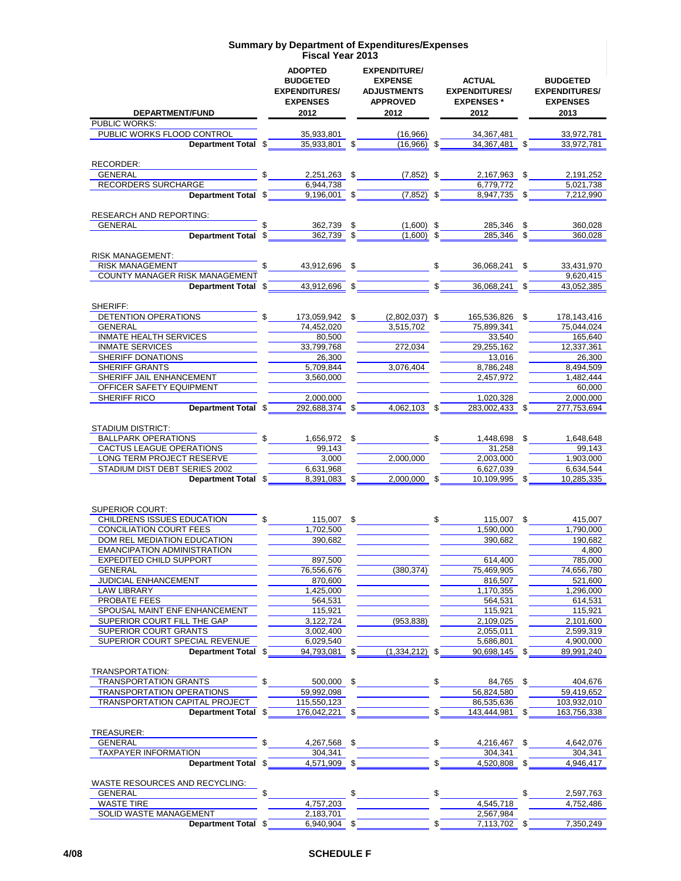|                                                                   | <b>ADOPTED</b><br><b>BUDGETED</b><br><b>EXPENDITURES/</b><br><b>EXPENSES</b><br>2012 |          | <b>EXPENDITURE/</b><br><b>EXPENSE</b><br><b>ADJUSTMENTS</b><br><b>APPROVED</b><br>2012 |              | <b>ACTUAL</b><br><b>EXPENDITURES/</b><br><b>EXPENSES*</b><br>2012 | <b>BUDGETED</b><br><b>EXPENDITURES/</b><br><b>EXPENSES</b><br>2013 |
|-------------------------------------------------------------------|--------------------------------------------------------------------------------------|----------|----------------------------------------------------------------------------------------|--------------|-------------------------------------------------------------------|--------------------------------------------------------------------|
| DEPARTMENT/FUND<br><b>PUBLIC WORKS:</b>                           |                                                                                      |          |                                                                                        |              |                                                                   |                                                                    |
| PUBLIC WORKS FLOOD CONTROL                                        | 35.933.801                                                                           |          | (16,966)                                                                               |              | 34, 367, 481                                                      | 33,972,781                                                         |
| Department Total \$                                               | 35,933,801 \$                                                                        |          | $(16.966)$ \$                                                                          |              | 34,367,481 \$                                                     | 33,972,781                                                         |
|                                                                   |                                                                                      |          |                                                                                        |              |                                                                   |                                                                    |
| RECORDER:                                                         |                                                                                      |          |                                                                                        |              |                                                                   |                                                                    |
| <b>GENERAL</b>                                                    | $2,251,263$ \$                                                                       |          | $(7,852)$ \$                                                                           |              | 2,167,963<br>-\$                                                  | 2,191,252                                                          |
| <b>RECORDERS SURCHARGE</b>                                        | 6,944,738                                                                            |          |                                                                                        |              | 6,779,772                                                         | 5,021,738                                                          |
| Department Total \$                                               | 9,196,001                                                                            | \$       | $(7,852)$ \$                                                                           |              | 8,947,735 \$                                                      | 7,212,990                                                          |
|                                                                   |                                                                                      |          |                                                                                        |              |                                                                   |                                                                    |
| <b>RESEARCH AND REPORTING:</b><br><b>GENERAL</b>                  | \$                                                                                   |          |                                                                                        |              |                                                                   |                                                                    |
| Department Total \$                                               | 362,739<br>362,739                                                                   | \$<br>\$ | $(1,600)$ \$<br>$(1,600)$ \$                                                           |              | 285,346<br>\$<br>285,346                                          | 360,028<br>360,028                                                 |
|                                                                   |                                                                                      |          |                                                                                        |              |                                                                   |                                                                    |
| <b>RISK MANAGEMENT:</b>                                           |                                                                                      |          |                                                                                        |              |                                                                   |                                                                    |
| <b>RISK MANAGEMENT</b>                                            | 43,912,696                                                                           | \$       |                                                                                        | $\mathbb{S}$ | 36,068,241<br>\$                                                  | 33,431,970                                                         |
| COUNTY MANAGER RISK MANAGEMENT                                    |                                                                                      |          |                                                                                        |              |                                                                   | 9,620,415                                                          |
| Department Total \$                                               | 43,912,696 \$                                                                        |          |                                                                                        | $\mathbf{s}$ | 36,068,241<br>-S                                                  | 43,052,385                                                         |
|                                                                   |                                                                                      |          |                                                                                        |              |                                                                   |                                                                    |
| SHERIFF:                                                          |                                                                                      |          |                                                                                        |              |                                                                   |                                                                    |
| DETENTION OPERATIONS                                              | 173,059,942                                                                          | S.       | $(2,802,037)$ \$                                                                       |              | 165,536,826<br>\$                                                 | 178,143,416                                                        |
| <b>GENERAL</b>                                                    | 74,452,020                                                                           |          | 3,515,702                                                                              |              | 75,899,341                                                        | 75,044,024                                                         |
| <b>INMATE HEALTH SERVICES</b>                                     | 80,500                                                                               |          |                                                                                        |              | 33.540                                                            | 165,640                                                            |
| <b>INMATE SERVICES</b>                                            | 33,799,768<br>26.300                                                                 |          | 272,034                                                                                |              | 29,255,162                                                        | 12,337,361                                                         |
| SHERIFF DONATIONS<br><b>SHERIFF GRANTS</b>                        |                                                                                      |          |                                                                                        |              | 13.016                                                            | 26,300<br>8.494.509                                                |
|                                                                   | 5,709,844                                                                            |          | 3,076,404                                                                              |              | 8,786,248                                                         |                                                                    |
| SHERIFF JAIL ENHANCEMENT                                          | 3,560,000                                                                            |          |                                                                                        |              | 2,457,972                                                         | 1,482,444                                                          |
| OFFICER SAFETY EQUIPMENT                                          |                                                                                      |          |                                                                                        |              |                                                                   | 60,000                                                             |
| SHERIFF RICO<br>Department Total \$                               | 2,000,000<br>292,688,374                                                             | \$       | 4,062,103 \$                                                                           |              | 1,020,328<br>283,002,433                                          | 2,000,000<br>277,753,694                                           |
|                                                                   |                                                                                      |          |                                                                                        |              |                                                                   |                                                                    |
| <b>STADIUM DISTRICT:</b>                                          |                                                                                      |          |                                                                                        |              |                                                                   |                                                                    |
| <b>BALLPARK OPERATIONS</b>                                        | 1,656,972 \$                                                                         |          |                                                                                        | \$           | 1,448,698 \$                                                      | 1,648,648                                                          |
| CACTUS LEAGUE OPERATIONS                                          | 99,143                                                                               |          |                                                                                        |              | 31,258                                                            | 99,143                                                             |
| LONG TERM PROJECT RESERVE                                         | 3,000                                                                                |          | 2,000,000                                                                              |              | 2,003,000                                                         | 1,903,000                                                          |
| STADIUM DIST DEBT SERIES 2002                                     | 6,631,968                                                                            |          |                                                                                        |              | 6,627,039                                                         | 6,634,544                                                          |
| Department Total \$                                               | 8,391,083                                                                            | \$       | 2,000,000                                                                              | \$           | 10,109,995<br>\$.                                                 | 10,285,335                                                         |
|                                                                   |                                                                                      |          |                                                                                        |              |                                                                   |                                                                    |
|                                                                   |                                                                                      |          |                                                                                        |              |                                                                   |                                                                    |
| <b>SUPERIOR COURT:</b>                                            |                                                                                      |          |                                                                                        |              |                                                                   |                                                                    |
| CHILDRENS ISSUES EDUCATION                                        | 115.007 \$                                                                           |          |                                                                                        | \$           | 115,007                                                           | 415,007                                                            |
| <b>CONCILIATION COURT FEES</b>                                    | 1,702,500                                                                            |          |                                                                                        |              | 1.590.000                                                         | 1,790,000                                                          |
| DOM REL MEDIATION EDUCATION<br><b>EMANCIPATION ADMINISTRATION</b> | 390,682                                                                              |          |                                                                                        |              | 390,682                                                           | 190,682                                                            |
| <b>EXPEDITED CHILD SUPPORT</b>                                    |                                                                                      |          |                                                                                        |              |                                                                   | 4,800<br>785,000                                                   |
|                                                                   | 897,500<br>76,556,676                                                                |          | (380, 374)                                                                             |              | 614,400<br>75,469,905                                             | 74,656,780                                                         |
| <b>GENERAL</b><br>JUDICIAL ENHANCEMENT                            | 870,600                                                                              |          |                                                                                        |              | 816,507                                                           | 521,600                                                            |
| <b>LAW LIBRARY</b>                                                | 1,425,000                                                                            |          |                                                                                        |              | 1,170,355                                                         | 1,296,000                                                          |
| PROBATE FEES                                                      | 564,531                                                                              |          |                                                                                        |              | 564,531                                                           | 614,531                                                            |
| SPOUSAL MAINT ENF ENHANCEMENT                                     | 115,921                                                                              |          |                                                                                        |              | 115,921                                                           | 115,921                                                            |
| SUPERIOR COURT FILL THE GAP                                       | 3,122,724                                                                            |          | (953, 838)                                                                             |              | 2,109,025                                                         | 2,101,600                                                          |
| SUPERIOR COURT GRANTS                                             | 3,002,400                                                                            |          |                                                                                        |              | 2,055,011                                                         | 2,599,319                                                          |
| SUPERIOR COURT SPECIAL REVENUE                                    | 6,029,540                                                                            |          |                                                                                        |              | 5,686,801                                                         | 4,900,000                                                          |
| Department Total \$                                               | 94.793.081                                                                           | \$       | (1,334,212)                                                                            | \$           | 90,698,145                                                        | 89,991,240                                                         |
|                                                                   |                                                                                      |          |                                                                                        |              |                                                                   |                                                                    |
| TRANSPORTATION:                                                   |                                                                                      |          |                                                                                        |              |                                                                   |                                                                    |
| TRANSPORTATION GRANTS                                             | 500,000 \$                                                                           |          |                                                                                        | \$           | 84,765<br>-\$                                                     | 404,676                                                            |
| <b>TRANSPORTATION OPERATIONS</b>                                  | 59,992,098                                                                           |          |                                                                                        |              | 56,824,580                                                        | 59,419,652                                                         |
| TRANSPORTATION CAPITAL PROJECT                                    | 115,550,123                                                                          |          |                                                                                        |              | 86,535,636                                                        | 103,932,010                                                        |
| Department Total \$                                               | 176,042,221                                                                          | \$       |                                                                                        | \$           | 143,444,981                                                       | 163,756,338                                                        |
|                                                                   |                                                                                      |          |                                                                                        |              |                                                                   |                                                                    |
| TREASURER:                                                        |                                                                                      |          |                                                                                        |              |                                                                   |                                                                    |
| <b>GENERAL</b>                                                    | \$<br>4,267,568 \$                                                                   |          |                                                                                        | \$           | 4,216,467 \$                                                      | 4,642,076                                                          |
| <b>TAXPAYER INFORMATION</b>                                       | 304,341                                                                              |          |                                                                                        |              | 304,341                                                           | 304,341                                                            |
| Department Total \$                                               | $4,571,909$ \$                                                                       |          |                                                                                        | \$           | 4,520,808 \$                                                      | 4,946,417                                                          |
|                                                                   |                                                                                      |          |                                                                                        |              |                                                                   |                                                                    |
| WASTE RESOURCES AND RECYCLING:                                    |                                                                                      |          |                                                                                        |              |                                                                   |                                                                    |
| <b>GENERAL</b>                                                    | \$                                                                                   | \$       |                                                                                        | \$           |                                                                   | 2,597,763                                                          |
| <b>WASTE TIRE</b>                                                 | 4,757,203                                                                            |          |                                                                                        |              | 4,545,718                                                         | 4,752,486                                                          |
| SOLID WASTE MANAGEMENT                                            | 2,183,701                                                                            |          |                                                                                        |              | 2,567,984                                                         |                                                                    |
| Department Total \$                                               | $6,940,904$ \$                                                                       |          |                                                                                        | \$           | 7,113,702 \$                                                      | 7,350,249                                                          |